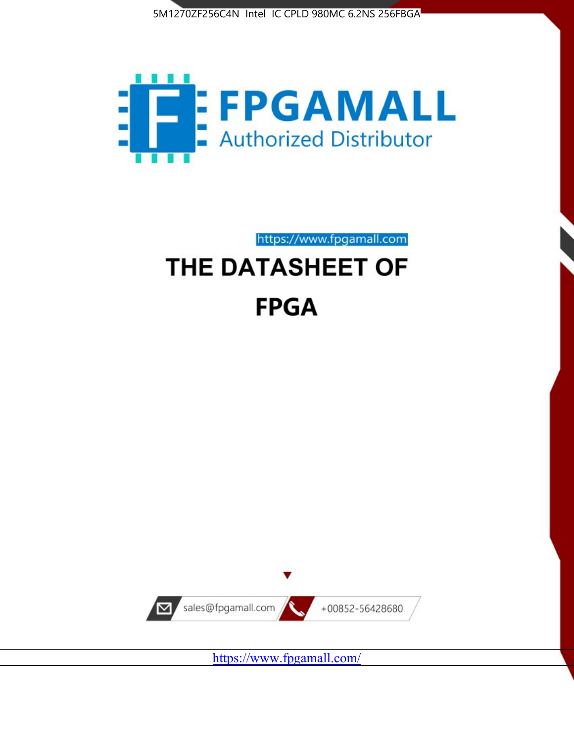



https://www.fpgamall.com

# THE DATASHEET OF **FPGA**



<https://www.fpgamall.com/>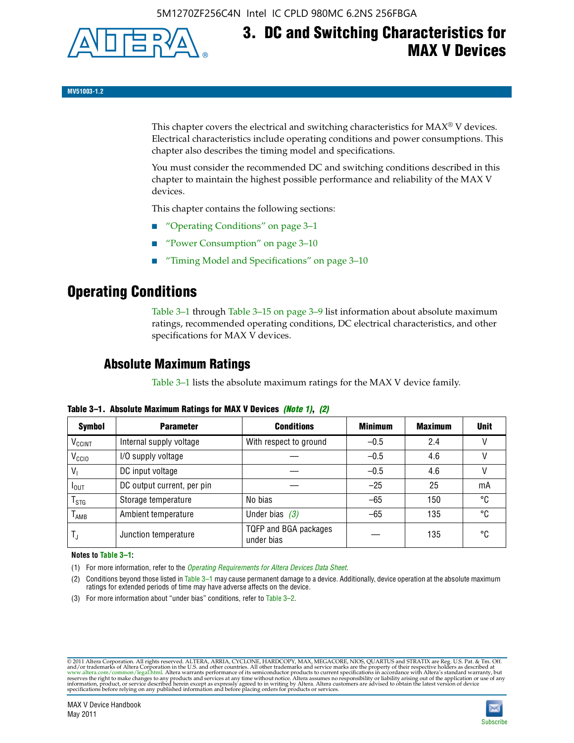

# **3. DC and Switching Characteristics for MAX V Devices**

**MV51003-1.2**

This chapter covers the electrical and switching characteristics for  $MAX^{\circ}$  V devices. Electrical characteristics include operating conditions and power consumptions. This chapter also describes the timing model and specifications.

You must consider the recommended DC and switching conditions described in this chapter to maintain the highest possible performance and reliability of the MAX V devices.

This chapter contains the following sections:

- "Operating Conditions" on page 3–1
- "Power Consumption" on page 3–10
- "Timing Model and Specifications" on page 3–10

### **Operating Conditions**

Table 3–1 through Table 3–15 on page 3–9 list information about absolute maximum ratings, recommended operating conditions, DC electrical characteristics, and other specifications for MAX V devices.

### **Absolute Maximum Ratings**

Table 3–1 lists the absolute maximum ratings for the MAX V device family.

| <b>Symbol</b>      | <b>Parameter</b>           | <b>Conditions</b>                   | <b>Minimum</b> | <b>Maximum</b> | <b>Unit</b> |
|--------------------|----------------------------|-------------------------------------|----------------|----------------|-------------|
| V <sub>CCINT</sub> | Internal supply voltage    | With respect to ground              | $-0.5$         | 2.4            |             |
| V <sub>CCIO</sub>  | I/O supply voltage         |                                     | $-0.5$         | 4.6            |             |
| $V_1$              | DC input voltage           |                                     | $-0.5$         | 4.6            |             |
| I <sub>OUT</sub>   | DC output current, per pin |                                     | $-25$          | 25             | mA          |
| $I_{STG}$          | Storage temperature        | No bias                             | $-65$          | 150            | °C          |
| $I_{\text{AMB}}$   | Ambient temperature        | Under bias $(3)$                    | $-65$          | 135            | °C          |
| T,                 | Junction temperature       | TQFP and BGA packages<br>under bias |                | 135            | °C          |

**Table 3–1. Absolute Maximum Ratings for MAX V Devices** *(Note 1)***,** *(2)*

**Notes to Table 3–1:**

(1) For more information, refer to the *[Operating Requirements for Altera Devices Data Sheet](http://www.altera.com/literature/ds/dsoprq.pdf)*.

(2) Conditions beyond those listed in Table 3–1 may cause permanent damage to a device. Additionally, device operation at the absolute maximum ratings for extended periods of time may have adverse affects on the device.

(3) For more information about "under bias" conditions, refer to Table 3–2.

@2011 Altera Corporation. All rights reserved. ALTERA, ARRIA, CYCLONE, HARDCOPY, MAX, MEGACORE, NIOS, QUARTUS and STRATIX are Reg. U.S. Pat. & Tm. Off. [and/or trademarks of Altera Corporat](http://www.altera.com/common/legal.html)ion in the U.S. and other countrie

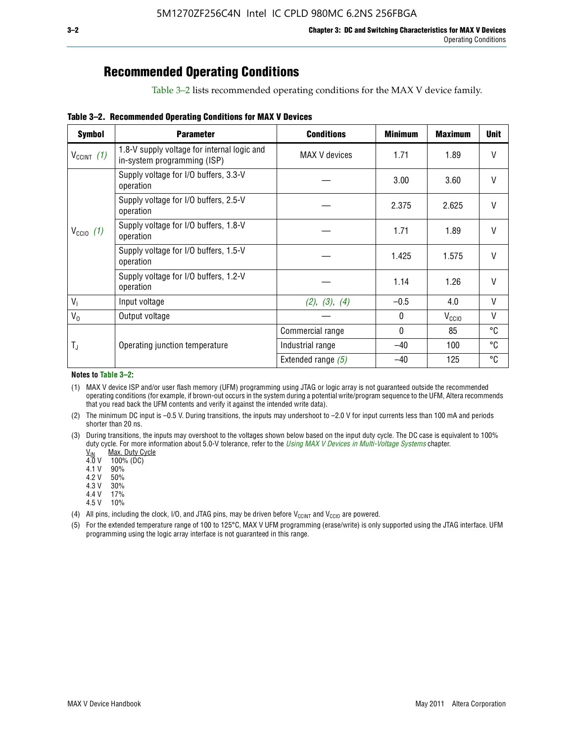### **Recommended Operating Conditions**

Table 3–2 lists recommended operating conditions for the MAX V device family.

**Table 3–2. Recommended Operating Conditions for MAX V Devices**

| <b>Symbol</b>        | <b>Parameter</b>                                                           | <b>Conditions</b>    | <b>Minimum</b> | <b>Maximum</b>    | <b>Unit</b>  |
|----------------------|----------------------------------------------------------------------------|----------------------|----------------|-------------------|--------------|
| $V_{CClNT}$ (1)      | 1.8-V supply voltage for internal logic and<br>in-system programming (ISP) | MAX V devices        | 1.71           | 1.89              | V            |
|                      | Supply voltage for I/O buffers, 3.3-V<br>operation                         |                      | 3.00           | 3.60              | $\mathsf{V}$ |
|                      | Supply voltage for I/O buffers, 2.5-V<br>operation                         |                      | 2.375          | 2.625             | $\mathsf{V}$ |
| $V_{\text{CCIO}}(1)$ | Supply voltage for I/O buffers, 1.8-V<br>operation                         |                      | 1.71           | 1.89              | $\mathsf{V}$ |
|                      | Supply voltage for I/O buffers, 1.5-V<br>operation                         |                      | 1.425          | 1.575             | V            |
|                      | Supply voltage for I/O buffers, 1.2-V<br>operation                         |                      | 1.14           | 1.26              | V            |
| $V_{1}$              | Input voltage                                                              | (2), (3), (4)        | $-0.5$         | 4.0               | V            |
| $V_0$                | Output voltage                                                             |                      | 0              | V <sub>CCIO</sub> | V            |
|                      |                                                                            | Commercial range     | 0              | 85                | °C           |
| T,                   | Operating junction temperature                                             | Industrial range     | $-40$          | 100               | °C           |
|                      |                                                                            | Extended range $(5)$ | $-40$          | 125               | °C           |

#### **Notes to Table 3–2:**

(1) MAX V device ISP and/or user flash memory (UFM) programming using JTAG or logic array is not guaranteed outside the recommended operating conditions (for example, if brown-out occurs in the system during a potential write/program sequence to the UFM, Altera recommends that you read back the UFM contents and verify it against the intended write data).

(2) The minimum DC input is –0.5 V. During transitions, the inputs may undershoot to –2.0 V for input currents less than 100 mA and periods shorter than 20 ns.

(3) During transitions, the inputs may overshoot to the voltages shown below based on the input duty cycle. The DC case is equivalent to 100% duty cycle. For more information about 5.0-V tolerance, refer to the *Using MAX V Devices in Multi-Voltage Systems* chapter.<br>
<u>V<sub>IN</sub> Max. Duty Cycle</u><br>
4.0 V 100% (DC)

Max. Duty Cycle

 $100\%$  (DC)<br>90%

 $4.1 V$ 

4.2 V 50%

4.3 V 30%<br>4.4 V 17%

4.4 V 4.5 V 10%

(4) All pins, including the clock, I/O, and JTAG pins, may be driven before  $V_{C C I N T}$  and  $V_{C C I O}$  are powered.

(5) For the extended temperature range of 100 to 125°C, MAX V UFM programming (erase/write) is only supported using the JTAG interface. UFM programming using the logic array interface is not guaranteed in this range.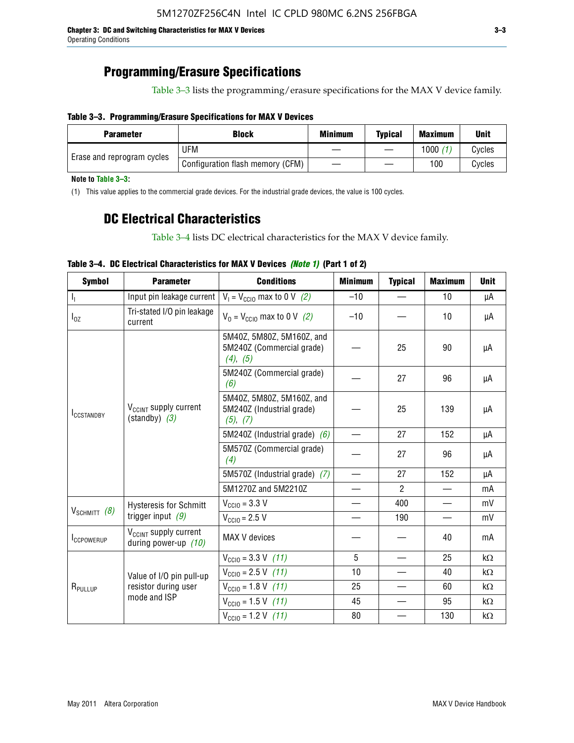**Chapter 3: DC and Switching Characteristics for MAX V Devices 3–3** Operating Conditions

### **Programming/Erasure Specifications**

Table 3–3 lists the programming/erasure specifications for the MAX V device family.

#### **Table 3–3. Programming/Erasure Specifications for MAX V Devices**

| Block<br><b>Parameter</b>  |                                  | <b>Minimum</b> | <b>Typical</b> | <b>Maximum</b> | <b>Unit</b> |
|----------------------------|----------------------------------|----------------|----------------|----------------|-------------|
|                            | UFM                              |                |                | 1000           | Cycles      |
| Erase and reprogram cycles | Configuration flash memory (CFM) |                |                | 100            | Cvcles      |

**Note to Table 3–3:**

(1) This value applies to the commercial grade devices. For the industrial grade devices, the value is 100 cycles.

### **DC Electrical Characteristics**

Table 3–4 lists DC electrical characteristics for the MAX V device family.

| <b>Symbol</b>       | <b>Parameter</b>                                              | <b>Conditions</b>                                                  | <b>Minimum</b>           | <b>Typical</b> | <b>Maximum</b> | <b>Unit</b> |
|---------------------|---------------------------------------------------------------|--------------------------------------------------------------------|--------------------------|----------------|----------------|-------------|
| $I_{\rm L}$         | Input pin leakage current                                     | $V_1 = V_{\text{CC10}}$ max to 0 V (2)                             | $-10$                    |                | 10             | μA          |
| $I_{0Z}$            | Tri-stated I/O pin leakage<br>current                         | $V_0 = V_{\text{CC10}}$ max to 0 V (2)                             | $-10$                    |                | 10             | μA          |
|                     |                                                               | 5M40Z, 5M80Z, 5M160Z, and<br>5M240Z (Commercial grade)<br>(4), (5) |                          | 25             | 90             | μA          |
|                     |                                                               | 5M240Z (Commercial grade)<br>(6)                                   |                          | 27             | 96             | μA          |
| <b>ICCSTANDBY</b>   | V <sub>CCINT</sub> supply current<br>$(\text{standby})$ $(3)$ | 5M40Z, 5M80Z, 5M160Z, and<br>5M240Z (Industrial grade)<br>(5), (7) |                          | 25             | 139            | μA          |
|                     |                                                               | 5M240Z (Industrial grade) $(6)$                                    |                          | 27             | 152            | μA          |
|                     |                                                               | 5M570Z (Commercial grade)<br>(4)                                   |                          | 27             | 96             | μA          |
|                     |                                                               | 5M570Z (Industrial grade) (7)                                      |                          | 27             | 152            | μA          |
|                     |                                                               | 5M1270Z and 5M2210Z                                                | $\overline{\phantom{0}}$ | $\mathcal{P}$  |                | mA          |
|                     | <b>Hysteresis for Schmitt</b>                                 | $V_{CGI0} = 3.3 V$                                                 | $\overline{\phantom{0}}$ | 400            |                | mV          |
| $V_{SCHMIT}$ (8)    | trigger input $(9)$                                           | $V_{\text{CGI0}} = 2.5 V$                                          |                          | 190            |                | mV          |
| <b>ICCPOWERUP</b>   | V <sub>CCINT</sub> supply current<br>during power-up $(10)$   | MAX V devices                                                      |                          |                | 40             | mA          |
|                     |                                                               | $V_{\text{CC10}} = 3.3 \text{ V} (11)$                             | 5                        |                | 25             | kΩ          |
|                     | Value of I/O pin pull-up                                      | $V_{\text{CC10}} = 2.5 \text{ V}$ (11)                             | 10                       |                | 40             | kΩ          |
| R <sub>PULLUP</sub> | resistor during user                                          | $V_{\text{CC10}} = 1.8 \text{ V} (11)$                             | 25                       |                | 60             | kΩ          |
|                     | mode and ISP                                                  | $V_{\text{CC10}} = 1.5 \text{ V} (11)$                             | 45                       |                | 95             | kΩ          |
|                     |                                                               | $V_{\text{CCIO}} = 1.2 \text{ V} (11)$                             | 80                       |                | 130            | kΩ          |

### **Table 3–4. DC Electrical Characteristics for MAX V Devices** *(Note 1)* **(Part 1 of 2)**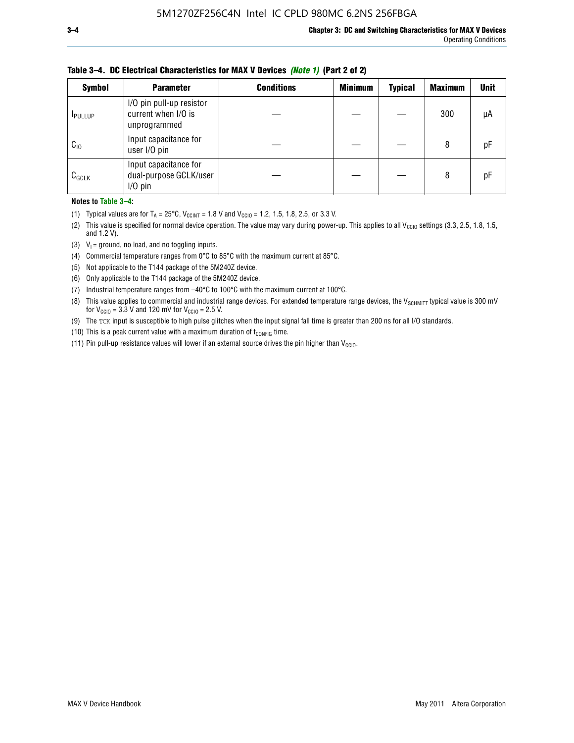| <b>Symbol</b>   | <b>Parameter</b>                                                | <b>Conditions</b> | <b>Minimum</b> | <b>Typical</b> | <b>Maximum</b> | <b>Unit</b> |
|-----------------|-----------------------------------------------------------------|-------------------|----------------|----------------|----------------|-------------|
| <b>I</b> PULLUP | I/O pin pull-up resistor<br>current when I/O is<br>unprogrammed |                   |                |                | 300            | μA          |
| $C_{10}$        | Input capacitance for<br>user I/O pin                           |                   |                |                | 8              | рF          |
| $C_{GCLK}$      | Input capacitance for<br>dual-purpose GCLK/user<br>$I/O$ pin    |                   |                |                | 8              | рF          |

**Table 3–4. DC Electrical Characteristics for MAX V Devices** *(Note 1)* **(Part 2 of 2)**

**Notes to Table 3–4:**

- (1) Typical values are for  $T_A = 25^{\circ}\text{C}$ ,  $V_{\text{CCINT}} = 1.8 \text{ V}$  and  $V_{\text{CCIO}} = 1.2, 1.5, 1.8, 2.5,$  or 3.3 V.
- (2) This value is specified for normal device operation. The value may vary during power-up. This applies to all V<sub>CCIO</sub> settings (3.3, 2.5, 1.8, 1.5, and 1.2 V).
- (3)  $V_1$  = ground, no load, and no toggling inputs.
- (4) Commercial temperature ranges from 0°C to 85°C with the maximum current at 85°C.
- (5) Not applicable to the T144 package of the 5M240Z device.
- (6) Only applicable to the T144 package of the 5M240Z device.
- (7) Industrial temperature ranges from –40°C to 100°C with the maximum current at 100°C.
- (8) This value applies to commercial and industrial range devices. For extended temperature range devices, the  $V_{SCHMIT}$  typical value is 300 mV for  $V_{\text{CCIO}} = 3.3$  V and 120 mV for  $V_{\text{CCIO}} = 2.5$  V.
- (9) The TCK input is susceptible to high pulse glitches when the input signal fall time is greater than 200 ns for all I/O standards.
- (10) This is a peak current value with a maximum duration of  $t_{\text{CONFIG}}$  time.
- (11) Pin pull-up resistance values will lower if an external source drives the pin higher than  $V_{\text{CCIO}}$ .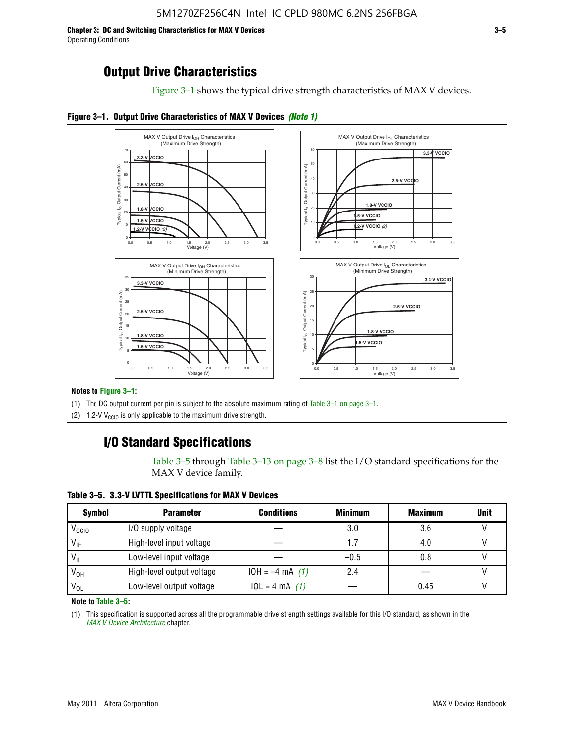**Chapter 3: DC and Switching Characteristics for MAX V Devices 3–5** Operating Conditions

### **Output Drive Characteristics**

Figure 3–1 shows the typical drive strength characteristics of MAX V devices.





#### **Notes to Figure 3–1:**

(1) The DC output current per pin is subject to the absolute maximum rating of Table 3–1 on page 3–1.

(2) 1.2-V V<sub>CCIO</sub> is only applicable to the maximum drive strength.

### **I/O Standard Specifications**

Table 3–5 through Table 3–13 on page 3–8 list the I/O standard specifications for the MAX V device family.

**Table 3–5. 3.3-V LVTTL Specifications for MAX V Devices**

| <b>Symbol</b>     | <b>Parameter</b>          | <b>Conditions</b> | <b>Minimum</b> | <b>Maximum</b> | <b>Unit</b> |
|-------------------|---------------------------|-------------------|----------------|----------------|-------------|
| V <sub>ccio</sub> | I/O supply voltage        |                   | 3.0            | 3.6            |             |
| $V_{IH}$          | High-level input voltage  |                   | 1.7            | 4.0            |             |
| $V_{IL}$          | Low-level input voltage   |                   | $-0.5$         | 0.8            |             |
| V <sub>он</sub>   | High-level output voltage | $10H = -4 mA$ (1) | 2.4            |                |             |
| $V_{OL}$          | Low-level output voltage  | $10L = 4 mA$ (1)  |                | 0.45           |             |

**Note to Table 3–5:**

(1) This specification is supported across all the programmable drive strength settings available for this I/O standard, as shown in the *[MAX V Device Architecture](http://www.altera.com/literature/hb/max-v/mv51002.pdf)* chapter.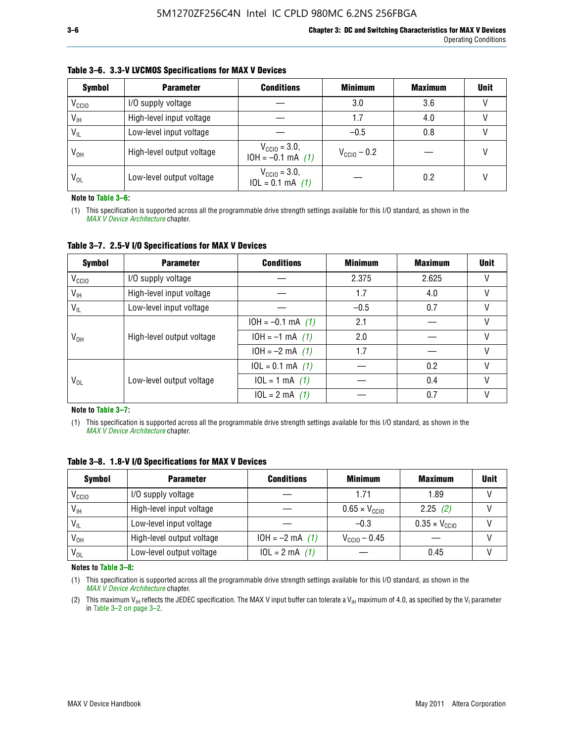| <b>Symbol</b>     | <b>Parameter</b>          | <b>Conditions</b>                                 | <b>Minimum</b>          | <b>Maximum</b> | <b>Unit</b> |
|-------------------|---------------------------|---------------------------------------------------|-------------------------|----------------|-------------|
| V <sub>CCIO</sub> | I/O supply voltage        |                                                   | 3.0                     | 3.6            |             |
| $V_{IH}$          | High-level input voltage  |                                                   | 1.7                     | 4.0            |             |
| $V_{IL}$          | Low-level input voltage   |                                                   | $-0.5$                  | 0.8            |             |
| $V_{OH}$          | High-level output voltage | $V_{\text{CC10}} = 3.0,$<br>$10H = -0.1$ mA $(1)$ | $V_{\text{CCIO}} - 0.2$ |                |             |
| $V_{OL}$          | Low-level output voltage  | $V_{\text{CC10}} = 3.0,$<br>$10L = 0.1$ mA $(1)$  |                         | 0.2            |             |

#### **Table 3–6. 3.3-V LVCMOS Specifications for MAX V Devices**

**Note to Table 3–6:**

(1) This specification is supported across all the programmable drive strength settings available for this I/O standard, as shown in the *[MAX V Device Architecture](http://www.altera.com/literature/hb/max-v/mv51002.pdf)* chapter.

**Table 3–7. 2.5-V I/O Specifications for MAX V Devices**

| <b>Symbol</b>     | <b>Parameter</b>          | <b>Conditions</b>     | <b>Minimum</b> | <b>Maximum</b> | <b>Unit</b> |
|-------------------|---------------------------|-----------------------|----------------|----------------|-------------|
| V <sub>CCIO</sub> | I/O supply voltage        |                       | 2.375          | 2.625          |             |
| $V_{\text{IH}}$   | High-level input voltage  |                       | 1.7            | 4.0            | V           |
| $V_{IL}$          | Low-level input voltage   |                       | $-0.5$         | 0.7            |             |
|                   | High-level output voltage | $10H = -0.1$ mA $(1)$ | 2.1            |                |             |
| $V_{OH}$          |                           | $10H = -1$ mA $(1)$   | 2.0            |                |             |
|                   |                           | $10H = -2 mA$ (1)     | 1.7            |                | V           |
|                   | Low-level output voltage  | $10L = 0.1$ mA $(1)$  |                | 0.2            |             |
| V <sub>OL</sub>   |                           | $10L = 1 mA$ (1)      |                | 0.4            |             |
|                   |                           | $10L = 2 mA$ (1)      |                | 0.7            |             |

**Note to Table 3–7:**

(1) This specification is supported across all the programmable drive strength settings available for this I/O standard, as shown in the *[MAX V Device Architecture](http://www.altera.com/literature/hb/max-v/mv51002.pdf)* chapter.

| <b>Symbol</b>     | <b>Parameter</b>          | <b>Conditions</b> | <b>Minimum</b>                | <b>Maximum</b>                | <b>Unit</b> |
|-------------------|---------------------------|-------------------|-------------------------------|-------------------------------|-------------|
| V <sub>ccio</sub> | I/O supply voltage        |                   | 1.71                          | 1.89                          |             |
| $V_{\text{IH}}$   | High-level input voltage  |                   | $0.65 \times V_{\text{CGI0}}$ | 2.25(2)                       |             |
| $V_{IL}$          | Low-level input voltage   |                   | $-0.3$                        | $0.35 \times V_{\text{CC10}}$ |             |
| V <sub>он</sub>   | High-level output voltage | $10H = -2 mA$ (1) | $V_{\text{CCI0}} - 0.45$      |                               |             |
| $V_{OL}$          | Low-level output voltage  | $10L = 2 mA$ (1)  |                               | 0.45                          |             |

**Table 3–8. 1.8-V I/O Specifications for MAX V Devices**

**Notes to Table 3–8:**

(1) This specification is supported across all the programmable drive strength settings available for this I/O standard, as shown in the *[MAX V Device Architecture](http://www.altera.com/literature/hb/max-v/mv51002.pdf)* chapter.

(2) This maximum V<sub>IH</sub> reflects the JEDEC specification. The MAX V input buffer can tolerate a V<sub>IH</sub> maximum of 4.0, as specified by the V<sub>I</sub> parameter in Table 3–2 on page 3–2.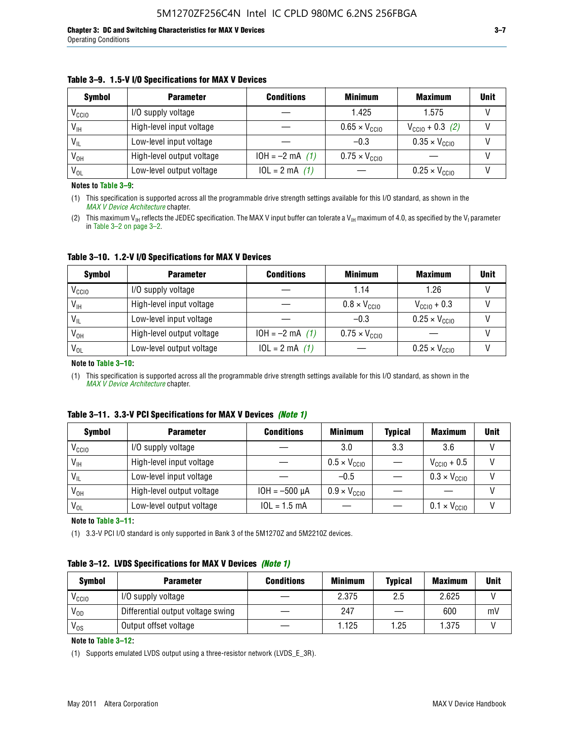#### **Table 3–9. 1.5-V I/O Specifications for MAX V Devices**

| <b>Symbol</b>     | <b>Parameter</b>          | <b>Conditions</b> | <b>Minimum</b>                | <b>Maximum</b>                | <b>Unit</b> |
|-------------------|---------------------------|-------------------|-------------------------------|-------------------------------|-------------|
| V <sub>CCIO</sub> | I/O supply voltage        |                   | 1.425                         | 1.575                         |             |
| $V_{IH}$          | High-level input voltage  |                   | $0.65 \times V_{\text{CC10}}$ | $V_{CGI0} + 0.3$ (2)          |             |
| $V_{IL}$          | Low-level input voltage   |                   | $-0.3$                        | $0.35 \times V_{\text{CC10}}$ |             |
| V <sub>он</sub>   | High-level output voltage | $10H = -2 mA$ (1) | $0.75 \times V_{\text{CGI}}$  |                               |             |
| $V_{OL}$          | Low-level output voltage  | $10L = 2 mA$ (1)  |                               | $0.25 \times V_{\text{CGI0}}$ |             |

**Notes to Table 3–9:**

(1) This specification is supported across all the programmable drive strength settings available for this I/O standard, as shown in the *[MAX V Device Architecture](http://www.altera.com/literature/hb/max-v/mv51002.pdf)* chapter.

(2) This maximum V<sub>IH</sub> reflects the JEDEC specification. The MAX V input buffer can tolerate a V<sub>IH</sub> maximum of 4.0, as specified by the V<sub>I</sub> parameter in Table 3–2 on page 3–2.

**Table 3–10. 1.2-V I/O Specifications for MAX V Devices**

| <b>Symbol</b>     | <b>Parameter</b>          | <b>Conditions</b> | <b>Minimum</b>               | <b>Maximum</b>                | <b>Unit</b> |
|-------------------|---------------------------|-------------------|------------------------------|-------------------------------|-------------|
| V <sub>CCIO</sub> | I/O supply voltage        |                   | 1.14                         | 1.26                          |             |
| $V_{IH}$          | High-level input voltage  |                   | $0.8 \times V_{\text{CCIO}}$ | $V_{\text{CC10}} + 0.3$       |             |
| $V_{IL}$          | Low-level input voltage   |                   | $-0.3$                       | $0.25 \times V_{\text{CCIO}}$ |             |
| V <sub>OH</sub>   | High-level output voltage | $10H = -2 mA$ (1) | $0.75 \times V_{\text{CCI}}$ |                               |             |
| $V_{OL}$          | Low-level output voltage  | $10L = 2 mA$ (1)  |                              | $0.25 \times V_{\text{CGI0}}$ |             |

#### **Note to Table 3–10:**

(1) This specification is supported across all the programmable drive strength settings available for this I/O standard, as shown in the *[MAX V Device Architecture](http://www.altera.com/literature/hb/max-v/mv51002.pdf)* chapter.

|  |  | Table 3–11. 3.3-V PCI Specifications for MAX V Devices (Note 1) |  |  |  |
|--|--|-----------------------------------------------------------------|--|--|--|
|--|--|-----------------------------------------------------------------|--|--|--|

| <b>Symbol</b>     | <b>Parameter</b>          | <b>Conditions</b>  | <b>Minimum</b>               | <b>Typical</b> | <b>Maximum</b>               | <b>Unit</b> |
|-------------------|---------------------------|--------------------|------------------------------|----------------|------------------------------|-------------|
| V <sub>CCIO</sub> | I/O supply voltage        |                    | 3.0                          | 3.3            | 3.6                          |             |
| $V_{IH}$          | High-level input voltage  |                    | $0.5 \times V_{\text{CCIO}}$ |                | $V_{\text{CC10}} + 0.5$      |             |
| $V_{IL}$          | Low-level input voltage   |                    | $-0.5$                       |                | $0.3 \times V_{\text{CC10}}$ |             |
| $V_{OH}$          | High-level output voltage | $10H = -500 \mu A$ | $0.9 \times V_{\text{CC10}}$ |                |                              |             |
| $V_{OL}$          | Low-level output voltage  | $10L = 1.5$ mA     |                              |                | $0.1 \times V_{\text{CC10}}$ |             |

**Note to Table 3–11:**

(1) 3.3-V PCI I/O standard is only supported in Bank 3 of the 5M1270Z and 5M2210Z devices.

#### **Table 3–12. LVDS Specifications for MAX V Devices** *(Note 1)*

| <b>Symbol</b> | <b>Parameter</b>                  | <b>Conditions</b> | <b>Minimum</b> | <b>Typical</b> | <b>Maximum</b> | Unit |
|---------------|-----------------------------------|-------------------|----------------|----------------|----------------|------|
| Vccio         | I/O supply voltage                |                   | 2.375          | 2.5            | 2.625          |      |
| $V_{OD}$      | Differential output voltage swing |                   | 247            |                | 600            | mV   |
| $V_{OS}$      | Output offset voltage             |                   | 1.125          | 1.25           | 1.375          |      |

**Note to Table 3–12:**

(1) Supports emulated LVDS output using a three-resistor network (LVDS\_E\_3R).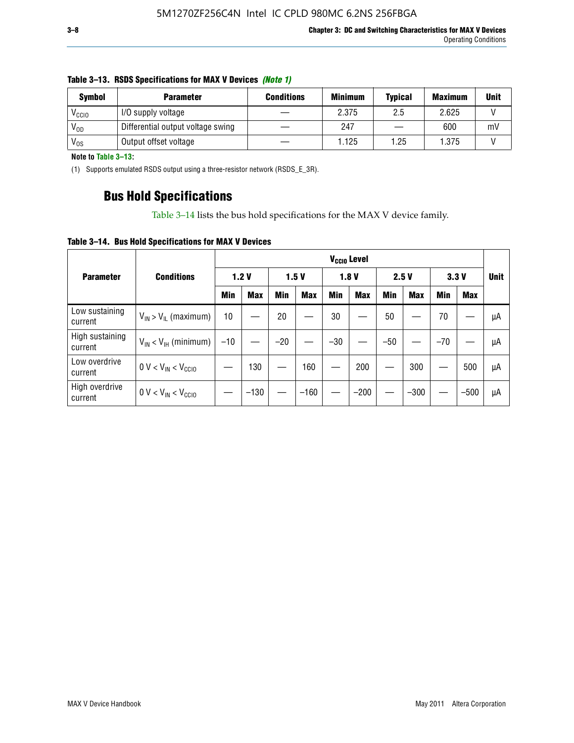| <b>Symbol</b>     | <b>Minimum</b><br><b>Conditions</b><br><b>Parameter</b> |  | <b>Typical</b> | <b>Maximum</b> | Unit  |    |
|-------------------|---------------------------------------------------------|--|----------------|----------------|-------|----|
| V <sub>CCIO</sub> | I/O supply voltage                                      |  | 2.375          | 2.5            | 2.625 |    |
| $V_{OD}$          | Differential output voltage swing                       |  | 247            |                | 600   | mV |
| V <sub>os</sub>   | Output offset voltage                                   |  | 1.125          | 1.25           | 1.375 |    |

#### **Table 3–13. RSDS Specifications for MAX V Devices** *(Note 1)*

**Note to Table 3–13:**

(1) Supports emulated RSDS output using a three-resistor network (RSDS\_E\_3R).

### **Bus Hold Specifications**

Table 3–14 lists the bus hold specifications for the MAX V device family.

**Table 3–14. Bus Hold Specifications for MAX V Devices**

|                            |                               | V <sub>ccio</sub> Level |            |       |            |            |            |       |            |       |            |             |
|----------------------------|-------------------------------|-------------------------|------------|-------|------------|------------|------------|-------|------------|-------|------------|-------------|
| <b>Parameter</b>           | <b>Conditions</b>             | 1.2V                    |            | 1.5V  |            | 1.8V       |            | 2.5V  |            | 3.3V  |            | <b>Unit</b> |
|                            |                               | Min                     | <b>Max</b> | Min   | <b>Max</b> | <b>Min</b> | <b>Max</b> | Min   | <b>Max</b> | Min   | <b>Max</b> |             |
| Low sustaining<br>current  | $V_{IN}$ > $V_{IL}$ (maximum) | 10                      |            | 20    |            | 30         |            | 50    |            | 70    |            | μA          |
| High sustaining<br>current | $V_{IN}$ < $V_{IH}$ (minimum) | $-10$                   |            | $-20$ |            | $-30$      |            | $-50$ |            | $-70$ |            | μA          |
| Low overdrive<br>current   | $0 V < V_{IN} < V_{CC10}$     |                         | 130        |       | 160        |            | 200        |       | 300        |       | 500        | μA          |
| High overdrive<br>current  | $0 V < V_{IN} < V_{CC10}$     |                         | $-130$     |       | $-160$     |            | $-200$     |       | $-300$     |       | $-500$     | μA          |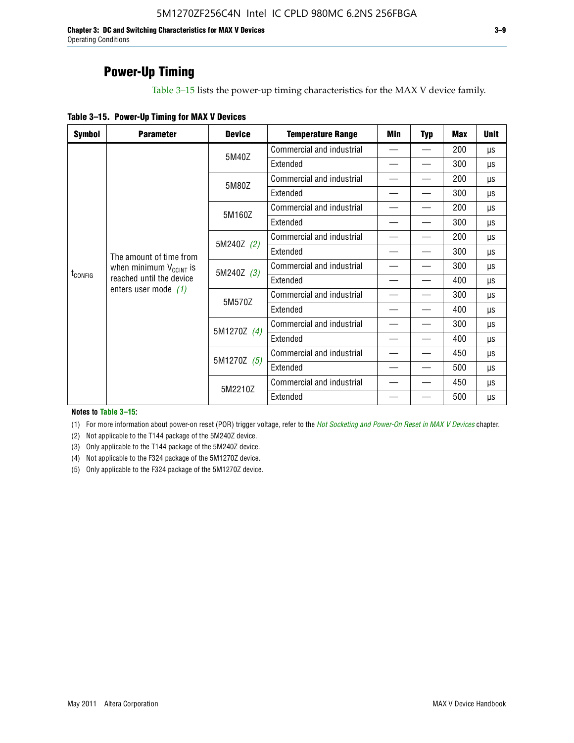**Chapter 3: DC and Switching Characteristics for MAX V Devices 3–9** Operating Conditions

### **Power-Up Timing**

Table 3–15 lists the power-up timing characteristics for the MAX V device family.

| Table 3-15. Power-Up Timing for MAX V Devices |  |
|-----------------------------------------------|--|
|-----------------------------------------------|--|

| <b>Symbol</b>       | <b>Parameter</b>              | <b>Device</b> | <b>Temperature Range</b>  | Min | <b>Typ</b> | <b>Max</b> | <b>Unit</b> |
|---------------------|-------------------------------|---------------|---------------------------|-----|------------|------------|-------------|
|                     |                               | 5M40Z         | Commercial and industrial | —   |            | 200        | μs          |
|                     |                               |               | Extended                  |     |            | 300        | μs          |
|                     |                               | 5M80Z         | Commercial and industrial |     |            | 200        | μs          |
|                     |                               |               | Extended                  |     |            | 300        | μs          |
|                     |                               | 5M160Z        | Commercial and industrial |     |            | 200        | μs          |
|                     |                               |               | Extended                  |     |            | 300        | μs          |
|                     |                               | 5M240Z (2)    | Commercial and industrial |     |            | 200        | μs          |
|                     | The amount of time from       |               | Extended                  |     |            | 300        | μs          |
|                     | when minimum $V_{C C INT}$ is | 5M240Z (3)    | Commercial and industrial |     |            | 300        | μs          |
| t <sub>config</sub> | reached until the device      |               | Extended                  | —   |            | 400        | μs          |
|                     | enters user mode $(1)$        | 5M570Z        | Commercial and industrial | —   |            | 300        | μs          |
|                     |                               |               | Extended                  |     |            | 400        | μs          |
|                     |                               | 5M1270Z (4)   | Commercial and industrial |     |            | 300        | μs          |
|                     |                               |               | Extended                  |     |            | 400        | μs          |
|                     |                               | 5M1270Z (5)   | Commercial and industrial |     |            | 450        | μs          |
|                     |                               |               | Extended                  |     |            | 500        | μs          |
|                     |                               | 5M2210Z       | Commercial and industrial |     |            | 450        | μs          |
|                     |                               |               | Extended                  |     |            | 500        | μs          |

**Notes to Table 3–15:**

(1) For more information about power-on reset (POR) trigger voltage, refer to the *[Hot Socketing and Power-On Reset in MAX V Devices](http://www.altera.com/literature/hb/max-v/mv51004.pdf)* chapter.

(2) Not applicable to the T144 package of the 5M240Z device.

(3) Only applicable to the T144 package of the 5M240Z device.

(4) Not applicable to the F324 package of the 5M1270Z device.

(5) Only applicable to the F324 package of the 5M1270Z device.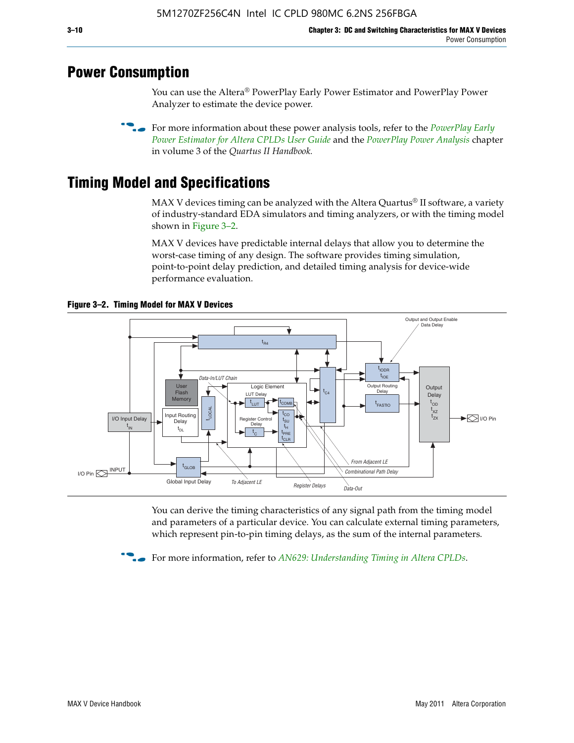### **Power Consumption**

You can use the Altera® PowerPlay Early Power Estimator and PowerPlay Power Analyzer to estimate the device power.

**For more information about these power analysis tools, refer to the** *PowerPlay Early**[Power Estimator for Altera CPLDs User Guide](http://www.altera.com/literature/ug/ug_epe_cpld.pdf)* and the *[PowerPlay Power Analysis](http://www.altera.com/literature/hb/qts/qts_qii53013.pdf)* chapter in volume 3 of the *Quartus II Handbook.*

# **Timing Model and Specifications**

MAX V devices timing can be analyzed with the Altera Quartus<sup>®</sup> II software, a variety of industry-standard EDA simulators and timing analyzers, or with the timing model shown in Figure 3–2.

MAX V devices have predictable internal delays that allow you to determine the worst-case timing of any design. The software provides timing simulation, point-to-point delay prediction, and detailed timing analysis for device-wide performance evaluation.



**Figure 3–2. Timing Model for MAX V Devices**

You can derive the timing characteristics of any signal path from the timing model and parameters of a particular device. You can calculate external timing parameters, which represent pin-to-pin timing delays, as the sum of the internal parameters.

**For more information, refer to** *[AN629: Understanding Timing in Altera CPLDs](http://www.altera.com/literature/an/an629.pdf)***.**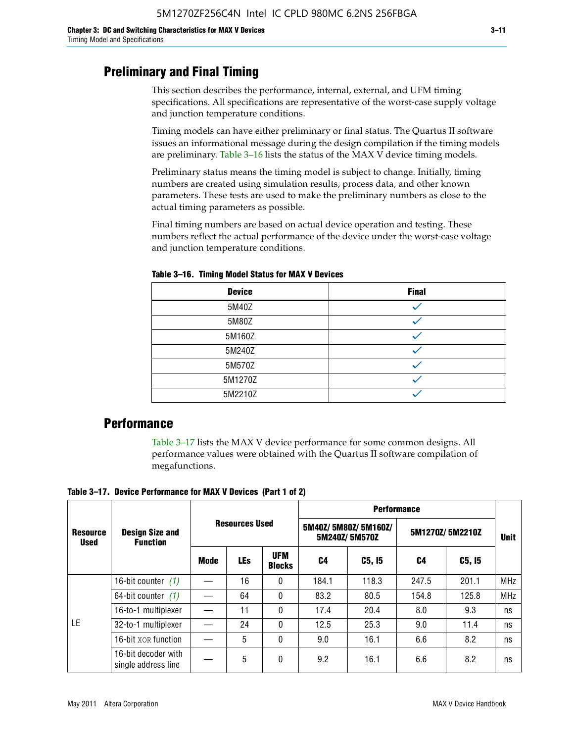### **Preliminary and Final Timing**

This section describes the performance, internal, external, and UFM timing specifications. All specifications are representative of the worst-case supply voltage and junction temperature conditions.

Timing models can have either preliminary or final status. The Quartus II software issues an informational message during the design compilation if the timing models are preliminary. Table 3–16 lists the status of the MAX V device timing models.

Preliminary status means the timing model is subject to change. Initially, timing numbers are created using simulation results, process data, and other known parameters. These tests are used to make the preliminary numbers as close to the actual timing parameters as possible.

Final timing numbers are based on actual device operation and testing. These numbers reflect the actual performance of the device under the worst-case voltage and junction temperature conditions.

| <b>Device</b> | <b>Final</b> |
|---------------|--------------|
| 5M40Z         |              |
| 5M80Z         |              |
| 5M160Z        |              |
| 5M240Z        |              |
| 5M570Z        |              |
| 5M1270Z       |              |
| 5M2210Z       |              |

**Table 3–16. Timing Model Status for MAX V Devices**

### **Performance**

Table 3–17 lists the MAX V device performance for some common designs. All performance values were obtained with the Quartus II software compilation of megafunctions.

**Table 3–17. Device Performance for MAX V Devices (Part 1 of 2)**

|                                |                                                                    |      |            |                             | <b>Performance</b>                   |        |       |                 |            |  |  |
|--------------------------------|--------------------------------------------------------------------|------|------------|-----------------------------|--------------------------------------|--------|-------|-----------------|------------|--|--|
| <b>Resource</b><br><b>Used</b> | <b>Resources Used</b><br><b>Design Size and</b><br><b>Function</b> |      |            |                             | 5M40Z/5M80Z/5M160Z/<br>5M240Z/5M570Z |        |       | 5M1270Z/5M2210Z |            |  |  |
|                                |                                                                    | Mode | <b>LEs</b> | <b>UFM</b><br><b>Blocks</b> | C4                                   | C5, I5 | C4    | C5, I5          |            |  |  |
|                                | 16-bit counter $(1)$                                               |      | 16         | 0                           | 184.1                                | 118.3  | 247.5 | 201.1           | <b>MHz</b> |  |  |
|                                | 64-bit counter $(1)$                                               |      | 64         | 0                           | 83.2                                 | 80.5   | 154.8 | 125.8           | <b>MHz</b> |  |  |
|                                | 16-to-1 multiplexer                                                |      | 11         | 0                           | 17.4                                 | 20.4   | 8.0   | 9.3             | ns         |  |  |
| LE                             | 32-to-1 multiplexer                                                |      | 24         | 0                           | 12.5                                 | 25.3   | 9.0   | 11.4            | ns         |  |  |
|                                | 16-bit XOR function                                                |      | 5          | 0                           | 9.0                                  | 16.1   | 6.6   | 8.2             | ns         |  |  |
|                                | 16-bit decoder with<br>single address line                         |      | 5          | 0                           | 9.2                                  | 16.1   | 6.6   | 8.2             | ns         |  |  |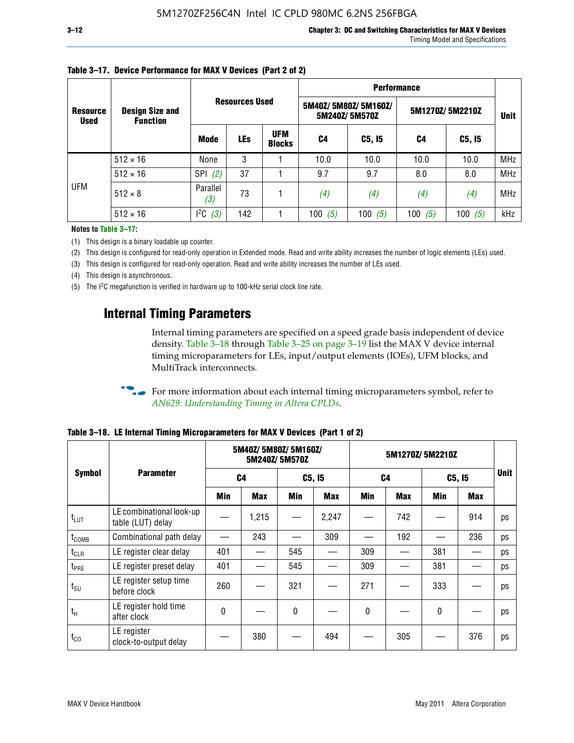|                                |                                           |                 |                       |                             | <b>Performance</b> |                                      |                 |             |            |  |  |
|--------------------------------|-------------------------------------------|-----------------|-----------------------|-----------------------------|--------------------|--------------------------------------|-----------------|-------------|------------|--|--|
| <b>Resource</b><br><b>Used</b> | <b>Design Size and</b><br><b>Function</b> |                 | <b>Resources Used</b> |                             |                    | 5M40Z/5M80Z/5M160Z/<br>5M240Z/5M570Z | 5M1270Z/5M2210Z | <b>Unit</b> |            |  |  |
|                                |                                           | <b>Mode</b>     | <b>LEs</b>            | <b>UFM</b><br><b>Blocks</b> | C4                 | C5, I5                               | C4              | C5, I5      |            |  |  |
|                                | $512 \times 16$                           | None            | 3                     |                             | 10.0               | 10.0                                 | 10.0            | 10.0        | <b>MHz</b> |  |  |
|                                | $512 \times 16$                           | SPI<br>(2)      | 37                    |                             | 9.7                | 9.7                                  | 8.0             | 8.0         | <b>MHz</b> |  |  |
| UFM                            | $512 \times 8$                            | Parallel<br>(3) | 73                    |                             | (4)                | (4)                                  | (4)             | (4)         | MHz        |  |  |
|                                | $512 \times 16$                           | 12C<br>(3)      | 142                   |                             | (5)<br>100         | 100 $(5)$                            | 100 $(5)$       | 100 $(5)$   | kHz        |  |  |

### **Table 3–17. Device Performance for MAX V Devices (Part 2 of 2)**

**Notes to Table 3–17:**

(1) This design is a binary loadable up counter.

(2) This design is configured for read-only operation in Extended mode. Read and write ability increases the number of logic elements (LEs) used.

(3) This design is configured for read-only operation. Read and write ability increases the number of LEs used.

(4) This design is asynchronous.

(5) The I2C megafunction is verified in hardware up to 100-kHz serial clock line rate.

### **Internal Timing Parameters**

Internal timing parameters are specified on a speed grade basis independent of device density. Table 3–18 through Table 3–25 on page 3–19 list the MAX V device internal timing microparameters for LEs, input/output elements (IOEs), UFM blocks, and MultiTrack interconnects.

For more information about each internal timing microparameters symbol, refer to *[AN629: Understanding Timing in Altera CPLDs](http://www.altera.com/literature/an/an629.pdf)*.

|                   |                                               |     | 5M40Z/ 5M80Z/ 5M160Z/ | 5M240Z/5M570Z |            | 5M1270Z/5M2210Z |                |        |            |             |
|-------------------|-----------------------------------------------|-----|-----------------------|---------------|------------|-----------------|----------------|--------|------------|-------------|
| <b>Symbol</b>     | <b>Parameter</b>                              |     | C <sub>4</sub>        |               | C5, I5     |                 | C <sub>4</sub> | C5, I5 |            | <b>Unit</b> |
|                   |                                               | Min | <b>Max</b>            | Min           | <b>Max</b> | Min             | <b>Max</b>     | Min    | <b>Max</b> |             |
| $t_{LUT}$         | LE combinational look-up<br>table (LUT) delay |     | 1,215                 |               | 2,247      |                 | 742            |        | 914        | ps          |
| t <sub>comb</sub> | Combinational path delay                      |     | 243                   |               | 309        |                 | 192            |        | 236        | ps          |
| $t_{CLR}$         | LE register clear delay                       | 401 |                       | 545           |            | 309             |                | 381    |            | ps          |
| t <sub>PRE</sub>  | LE register preset delay                      | 401 |                       | 545           |            | 309             |                | 381    |            | ps          |
| $t_{\text{SU}}$   | LE register setup time<br>before clock        | 260 |                       | 321           |            | 271             |                | 333    |            | ps          |
| $t_{H}$           | LE register hold time<br>after clock          | 0   |                       | $\mathbf{0}$  |            | $\mathbf{0}$    |                | 0      |            | ps          |
| $t_{CO}$          | LE register<br>clock-to-output delay          |     | 380                   |               | 494        |                 | 305            |        | 376        | ps          |

**Table 3–18. LE Internal Timing Microparameters for MAX V Devices (Part 1 of 2)**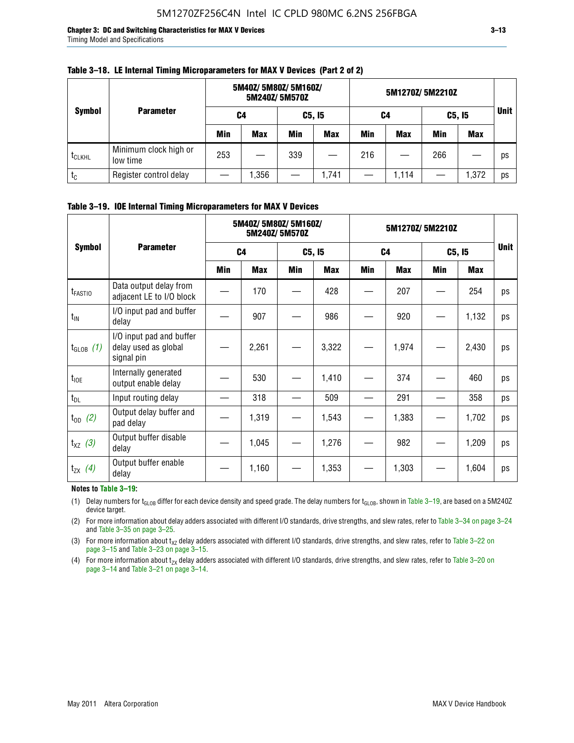**Chapter 3: DC and Switching Characteristics for MAX V Devices 3–13** Timing Model and Specifications

| <b>Symbol</b>      |                                   | 5M40Z/ 5M80Z/ 5M160Z/<br>5M240Z/5M570Z |            |     |            | 5M1270Z/5M2210Z |            |            |            |             |
|--------------------|-----------------------------------|----------------------------------------|------------|-----|------------|-----------------|------------|------------|------------|-------------|
|                    | <b>Parameter</b>                  | C4                                     |            |     | C5, I5     | C4              |            |            | C5, I5     | <b>Unit</b> |
|                    |                                   | Min                                    | <b>Max</b> | Min | <b>Max</b> | Min             | <b>Max</b> | <b>Min</b> | <b>Max</b> |             |
| t <sub>CLKHL</sub> | Minimum clock high or<br>low time | 253                                    |            | 339 |            | 216             |            | 266        |            | ps          |
| $t_c$              | Register control delay            |                                        | .356       |     | 1,741      |                 | 1.114      |            | 1,372      | ps          |

#### **Table 3–18. LE Internal Timing Microparameters for MAX V Devices (Part 2 of 2)**

#### **Table 3–19. IOE Internal Timing Microparameters for MAX V Devices**

|                     | <b>Parameter</b>                                               |                | 5M40Z/ 5M80Z/ 5M160Z/ | 5M240Z/5M570Z |            | 5M1270Z/5M2210Z |            |        |            |             |
|---------------------|----------------------------------------------------------------|----------------|-----------------------|---------------|------------|-----------------|------------|--------|------------|-------------|
| <b>Symbol</b>       |                                                                | C <sub>4</sub> |                       | C5, I5        |            | C <sub>4</sub>  |            | C5, I5 |            | <b>Unit</b> |
|                     |                                                                | <b>Min</b>     | <b>Max</b>            | <b>Min</b>    | <b>Max</b> | <b>Min</b>      | <b>Max</b> | Min    | <b>Max</b> |             |
| t <sub>FASTIO</sub> | Data output delay from<br>adjacent LE to I/O block             |                | 170                   |               | 428        |                 | 207        |        | 254        | ps          |
| $t_{IN}$            | I/O input pad and buffer<br>delay                              |                | 907                   |               | 986        |                 | 920        |        | 1,132      | ps          |
| $t_{GLOB}$ (1)      | I/O input pad and buffer<br>delay used as global<br>signal pin |                | 2,261                 |               | 3,322      |                 | 1,974      |        | 2,430      | ps          |
| $t_{\text{IOE}}$    | Internally generated<br>output enable delay                    |                | 530                   |               | 1,410      |                 | 374        |        | 460        | ps          |
| $t_{DL}$            | Input routing delay                                            |                | 318                   |               | 509        |                 | 291        |        | 358        | ps          |
| $t_{OD}$ (2)        | Output delay buffer and<br>pad delay                           |                | 1,319                 |               | 1,543      |                 | 1,383      |        | 1,702      | ps          |
| $t_{XZ}$ (3)        | Output buffer disable<br>delay                                 |                | 1,045                 |               | 1,276      |                 | 982        |        | 1,209      | ps          |
| $t_{ZX}$ (4)        | Output buffer enable<br>delay                                  |                | 1,160                 |               | 1,353      |                 | 1,303      |        | 1,604      | ps          |

#### **Notes to Table 3–19:**

(1) Delay numbers for t<sub>GLOB</sub> differ for each device density and speed grade. The delay numbers for t<sub>GLOB</sub>, shown in Table 3–19, are based on a 5M240Z device target.

(2) For more information about delay adders associated with different I/O standards, drive strengths, and slew rates, refer to Table 3–34 on page 3–24 and Table 3–35 on page 3–25.

(3) For more information about  $t_{XZ}$  delay adders associated with different I/O standards, drive strengths, and slew rates, refer to Table 3-22 on page 3–15 and Table 3–23 on page 3–15.

(4) For more information about t<sub>zx</sub> delay adders associated with different I/O standards, drive strengths, and slew rates, refer to Table 3–20 on<br>page 3–14 and Table 3–21 on page 3–14.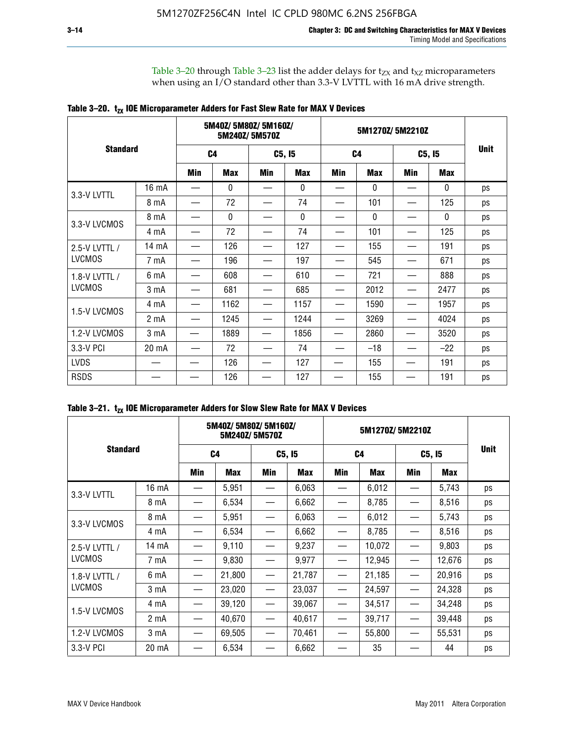Table 3–20 through Table 3–23 list the adder delays for  $t_{ZX}$  and  $t_{XZ}$  microparameters when using an I/O standard other than 3.3-V LVTTL with 16 mA drive strength.

|                 |                  |                | 5M40Z/ 5M80Z/ 5M160Z/ | 5M240Z/5M570Z |            |                | 5M1270Z/5M2210Z |        |              |             |
|-----------------|------------------|----------------|-----------------------|---------------|------------|----------------|-----------------|--------|--------------|-------------|
| <b>Standard</b> |                  | C <sub>4</sub> |                       | C5, I5        |            | C <sub>4</sub> |                 | C5, I5 |              | <b>Unit</b> |
|                 |                  | Min            | <b>Max</b>            | Min           | <b>Max</b> | Min            | <b>Max</b>      | Min    | <b>Max</b>   |             |
| 3.3-V LVTTL     | 16 mA            |                | 0                     |               | 0          |                | $\mathbf{0}$    |        | 0            | ps          |
|                 | 8 mA             |                | 72                    |               | 74         |                | 101             |        | 125          | ps          |
| 3.3-V LVCMOS    | 8 mA             |                | $\mathbf{0}$          |               | 0          |                | $\mathbf{0}$    |        | $\mathbf{0}$ | ps          |
|                 | 4 mA             |                | 72                    |               | 74         |                | 101             |        | 125          | ps          |
| 2.5-V LVTTL /   | 14 mA            |                | 126                   |               | 127        |                | 155             |        | 191          | ps          |
| <b>LVCMOS</b>   | 7 mA             |                | 196                   |               | 197        |                | 545             |        | 671          | ps          |
| 1.8-V LVTTL /   | 6 mA             |                | 608                   |               | 610        |                | 721             |        | 888          | ps          |
| <b>LVCMOS</b>   | 3 mA             |                | 681                   |               | 685        |                | 2012            |        | 2477         | ps          |
| 1.5-V LVCMOS    | 4 mA             |                | 1162                  |               | 1157       |                | 1590            |        | 1957         | ps          |
|                 | 2 mA             |                | 1245                  |               | 1244       |                | 3269            |        | 4024         | ps          |
| 1.2-V LVCMOS    | 3 <sub>m</sub> A |                | 1889                  |               | 1856       |                | 2860            |        | 3520         | ps          |
| 3.3-V PCI       | 20 mA            |                | 72                    |               | 74         |                | $-18$           |        | $-22$        | ps          |
| <b>LVDS</b>     |                  |                | 126                   |               | 127        |                | 155             |        | 191          | ps          |
| <b>RSDS</b>     |                  |                | 126                   |               | 127        |                | 155             |        | 191          | ps          |

| Table 3–21. $t_{zx}$ IOE Microparameter Adders for Slow Slew Rate for MAX V Devices |  |  |  |
|-------------------------------------------------------------------------------------|--|--|--|
|-------------------------------------------------------------------------------------|--|--|--|

|               | 5M40Z/5M80Z/5M160Z/<br>5M240Z/5M570Z |     |                |     |        | 5M1270Z/5M2210Z |                |     |        |    |
|---------------|--------------------------------------|-----|----------------|-----|--------|-----------------|----------------|-----|--------|----|
|               | <b>Standard</b>                      |     | C <sub>4</sub> |     | C5, I5 |                 | C <sub>4</sub> |     | C5, I5 |    |
|               |                                      | Min | <b>Max</b>     | Min | Max    | <b>Min</b>      | <b>Max</b>     | Min | Max    |    |
| 3.3-V LVTTL   | 16 mA                                |     | 5,951          |     | 6,063  |                 | 6,012          |     | 5,743  | ps |
|               | 8 mA                                 |     | 6,534          |     | 6,662  |                 | 8,785          |     | 8,516  | ps |
| 3.3-V LVCMOS  | 8 mA                                 |     | 5,951          |     | 6,063  |                 | 6,012          |     | 5,743  | ps |
|               | 4 mA                                 |     | 6,534          | —   | 6,662  |                 | 8,785          |     | 8,516  | ps |
| 2.5-V LVTTL / | 14 mA                                |     | 9,110          |     | 9,237  |                 | 10,072         |     | 9,803  | ps |
| <b>LVCMOS</b> | 7 mA                                 |     | 9,830          | —   | 9,977  | —               | 12,945         |     | 12,676 | ps |
| 1.8-V LVTTL / | 6 mA                                 |     | 21,800         |     | 21,787 |                 | 21,185         |     | 20,916 | ps |
| <b>LVCMOS</b> | 3 <sub>m</sub> A                     |     | 23,020         | —   | 23,037 |                 | 24,597         |     | 24,328 | ps |
|               | 4 mA                                 |     | 39,120         |     | 39,067 |                 | 34,517         |     | 34,248 | ps |
| 1.5-V LVCMOS  | 2 <sub>m</sub> A                     |     | 40,670         |     | 40,617 |                 | 39,717         |     | 39,448 | ps |
| 1.2-V LVCMOS  | 3 mA                                 |     | 69,505         |     | 70,461 |                 | 55,800         |     | 55,531 | ps |
| 3.3-V PCI     | 20 mA                                |     | 6,534          |     | 6,662  |                 | 35             |     | 44     | ps |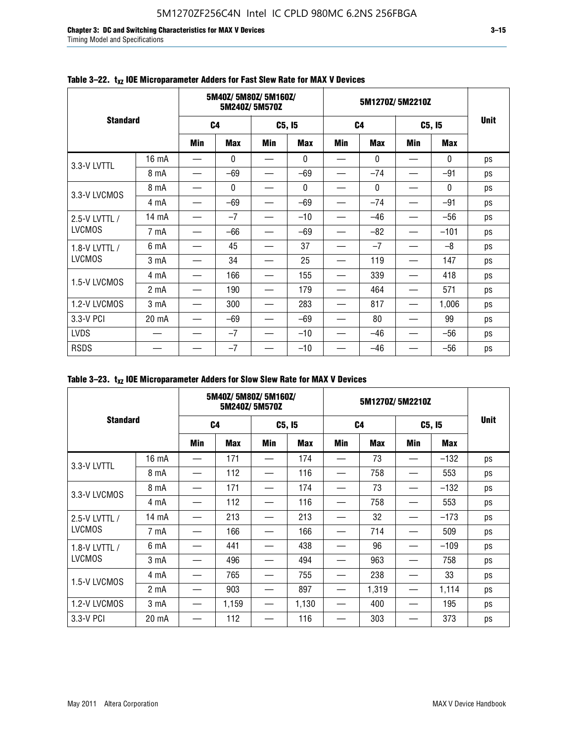**Chapter 3: DC and Switching Characteristics for MAX V Devices 3–15** Timing Model and Specifications

|                 |                  | 5M40Z/5M80Z/5M160Z/<br>5M240Z/5M570Z |              |        |              |                | 5M1270Z/5M2210Z |                               |              |             |
|-----------------|------------------|--------------------------------------|--------------|--------|--------------|----------------|-----------------|-------------------------------|--------------|-------------|
| <b>Standard</b> |                  | C <sub>4</sub>                       |              | C5, I5 |              | C <sub>4</sub> |                 | C5, I5                        |              | <b>Unit</b> |
|                 |                  | <b>Min</b>                           | <b>Max</b>   | Min    | <b>Max</b>   | <b>Min</b>     | <b>Max</b>      | <b>Min</b>                    | <b>Max</b>   |             |
| 3.3-V LVTTL     | 16 mA            |                                      | $\mathbf{0}$ |        | $\mathbf{0}$ |                | $\mathbf{0}$    | —                             | $\mathbf{0}$ | ps          |
|                 | 8 mA             |                                      | $-69$        |        | $-69$        |                | $-74$           |                               | $-91$        | ps          |
| 3.3-V LVCMOS    | 8 mA             |                                      | $\mathbf{0}$ |        | $\mathbf{0}$ |                | $\mathbf{0}$    |                               | $\mathbf{0}$ | ps          |
|                 | 4 mA             |                                      | $-69$        |        | $-69$        |                | $-74$           |                               | $-91$        | ps          |
| 2.5-V LVTTL /   | 14 mA            |                                      | $-7$         |        | $-10$        |                | $-46$           |                               | $-56$        | ps          |
| <b>LVCMOS</b>   | 7 mA             |                                      | -66          |        | $-69$        |                | $-82$           |                               | $-101$       | ps          |
| 1.8-V LVTTL /   | 6 mA             |                                      | 45           |        | 37           |                | $-7$            | $\overbrace{\phantom{13333}}$ | $-8$         | ps          |
| <b>LVCMOS</b>   | 3 <sub>m</sub> A |                                      | 34           |        | 25           |                | 119             |                               | 147          | ps          |
| 1.5-V LVCMOS    | 4 mA             |                                      | 166          |        | 155          |                | 339             |                               | 418          | ps          |
|                 | 2 <sub>m</sub> A |                                      | 190          |        | 179          |                | 464             |                               | 571          | ps          |
| 1.2-V LVCMOS    | 3 mA             |                                      | 300          |        | 283          |                | 817             | —                             | 1,006        | ps          |
| 3.3-V PCI       | 20 mA            |                                      | $-69$        |        | $-69$        |                | 80              |                               | 99           | ps          |
| <b>LVDS</b>     |                  |                                      | $-7$         |        | $-10$        |                | $-46$           | $\overline{\phantom{0}}$      | $-56$        | ps          |
| <b>RSDS</b>     |                  |                                      | $-7$         |        | $-10$        |                | $-46$           | $\overline{\phantom{0}}$      | $-56$        | ps          |

### Table 3-22. t<sub>xz</sub> IOE Microparameter Adders for Fast Slew Rate for MAX V Devices

|                 |                  |                | 5M40Z/5M80Z/5M160Z/ | 5M240Z/5M570Z |            |                | 5M1270Z/5M2210Z |            |            |             |
|-----------------|------------------|----------------|---------------------|---------------|------------|----------------|-----------------|------------|------------|-------------|
| <b>Standard</b> |                  | C <sub>4</sub> |                     | C5, I5        |            | C <sub>4</sub> |                 | C5, I5     |            | <b>Unit</b> |
|                 |                  | Min            | <b>Max</b>          | Min           | <b>Max</b> | Min            | <b>Max</b>      | <b>Min</b> | <b>Max</b> |             |
| 3.3-V LVTTL     | 16 mA            |                | 171                 |               | 174        | —              | 73              |            | $-132$     | ps          |
|                 | 8 mA             |                | 112                 |               | 116        |                | 758             |            | 553        | ps          |
| 3.3-V LVCMOS    | 8 mA             |                | 171                 |               | 174        |                | 73              |            | $-132$     | ps          |
|                 | 4 mA             |                | 112                 |               | 116        |                | 758             |            | 553        | ps          |
| 2.5-V LVTTL /   | 14 mA            |                | 213                 |               | 213        |                | 32              |            | $-173$     | ps          |
| <b>LVCMOS</b>   | 7 mA             |                | 166                 |               | 166        |                | 714             |            | 509        | ps          |
| 1.8-V LVTTL /   | 6 mA             |                | 441                 |               | 438        |                | 96              |            | $-109$     | ps          |
| <b>LVCMOS</b>   | 3 mA             |                | 496                 |               | 494        |                | 963             |            | 758        | ps          |
|                 | 4 mA             |                | 765                 |               | 755        |                | 238             |            | 33         | ps          |
| 1.5-V LVCMOS    | 2 <sub>m</sub> A |                | 903                 |               | 897        |                | 1,319           |            | 1,114      | ps          |
| 1.2-V LVCMOS    | 3 <sub>m</sub> A |                | 1,159               | —             | 1,130      | —              | 400             |            | 195        | ps          |
| 3.3-V PCI       | 20 mA            |                | 112                 |               | 116        |                | 303             |            | 373        | ps          |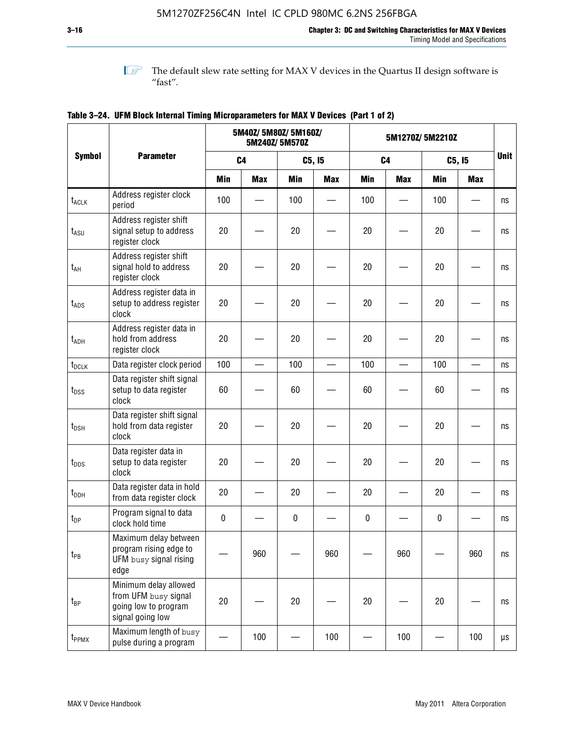**1 The default slew rate setting for MAX V devices in the Quartus II design software is**  $^{\prime\prime}$  fast".

|                    |                                                                                           |                | 5M40Z/ 5M80Z/ 5M160Z/ | 5M240Z/5M570Z |            | 5M1270Z/5M2210Z |                |            |                          |             |
|--------------------|-------------------------------------------------------------------------------------------|----------------|-----------------------|---------------|------------|-----------------|----------------|------------|--------------------------|-------------|
| <b>Symbol</b>      | <b>Parameter</b>                                                                          | C <sub>4</sub> |                       |               | C5, I5     |                 | C <sub>4</sub> |            | C5, I5                   | <b>Unit</b> |
|                    |                                                                                           | <b>Min</b>     | <b>Max</b>            | <b>Min</b>    | <b>Max</b> | <b>Min</b>      | <b>Max</b>     | <b>Min</b> | <b>Max</b>               |             |
| t <sub>ACLK</sub>  | Address register clock<br>period                                                          | 100            |                       | 100           |            | 100             |                | 100        |                          | ns          |
| $t_{ASU}$          | Address register shift<br>signal setup to address<br>register clock                       | 20             |                       | 20            |            | 20              |                | 20         |                          | ns          |
| $t_{AH}$           | Address register shift<br>signal hold to address<br>register clock                        | 20             |                       | 20            |            | 20              |                | 20         |                          | ns          |
| $t_{\mathsf{ADS}}$ | Address register data in<br>setup to address register<br>clock                            | 20             |                       | 20            |            | 20              |                | 20         |                          | ns          |
| t <sub>ADH</sub>   | Address register data in<br>hold from address<br>register clock                           | 20             |                       | 20            |            | 20              |                | 20         |                          | ns          |
| $t_{DCLK}$         | Data register clock period                                                                | 100            |                       | 100           |            | 100             |                | 100        | $\overline{\phantom{0}}$ | ns          |
| $t_{DSS}$          | Data register shift signal<br>setup to data register<br>clock                             | 60             |                       | 60            |            | 60              |                | 60         |                          | ns          |
| $t_{DSH}$          | Data register shift signal<br>hold from data register<br>clock                            | 20             |                       | 20            |            | 20              |                | 20         |                          | ns          |
| $t_{\text{DDS}}$   | Data register data in<br>setup to data register<br>clock                                  | 20             |                       | 20            |            | 20              |                | 20         |                          | ns          |
| $t_{DDH}$          | Data register data in hold<br>from data register clock                                    | 20             |                       | 20            |            | 20              |                | 20         |                          | ns          |
| $t_{DP}$           | Program signal to data<br>clock hold time                                                 | $\pmb{0}$      |                       | $\pmb{0}$     |            | $\pmb{0}$       |                | $\pmb{0}$  |                          | ns          |
| $t_{PB}$           | Maximum delay between<br>program rising edge to<br>UFM busy signal rising<br>edge         |                | 960                   |               | 960        |                 | 960            |            | 960                      | ns          |
| $t_{\mathsf{BP}}$  | Minimum delay allowed<br>from UFM busy signal<br>going low to program<br>signal going low | 20             |                       | 20            |            | $20\,$          |                | 20         |                          | ns          |
| $t_{PPMX}$         | Maximum length of busy<br>pulse during a program                                          |                | 100                   |               | 100        |                 | 100            |            | 100                      | μs          |

### **Table 3–24. UFM Block Internal Timing Microparameters for MAX V Devices (Part 1 of 2)**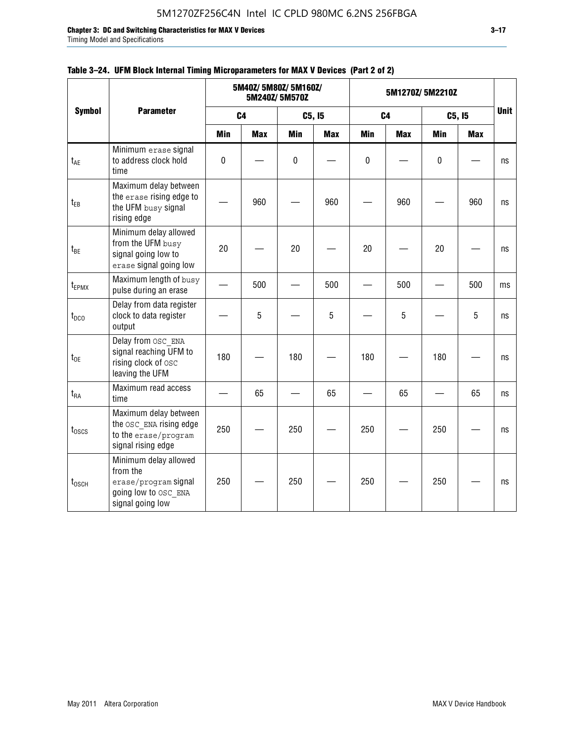**Chapter 3: DC and Switching Characteristics for MAX V Devices 3–17**

Timing Model and Specifications

|                   |                                                                                                       | 5M40Z/ 5M80Z/ 5M160Z/<br>5M240Z/5M570Z |                |            |            | 5M1270Z/5M2210Z | <b>Unit</b>    |            |            |    |
|-------------------|-------------------------------------------------------------------------------------------------------|----------------------------------------|----------------|------------|------------|-----------------|----------------|------------|------------|----|
| <b>Symbol</b>     | <b>Parameter</b>                                                                                      |                                        | C <sub>4</sub> |            | C5, I5     |                 | C <sub>4</sub> |            | C5, I5     |    |
|                   |                                                                                                       | <b>Min</b>                             | <b>Max</b>     | <b>Min</b> | <b>Max</b> | <b>Min</b>      | <b>Max</b>     | <b>Min</b> | <b>Max</b> |    |
| $t_{AE}$          | Minimum erase signal<br>to address clock hold<br>time                                                 | $\mathbf 0$                            |                | 0          |            | $\mathbf{0}$    |                | 0          |            | ns |
| $t_{EB}$          | Maximum delay between<br>the erase rising edge to<br>the UFM busy signal<br>rising edge               |                                        | 960            |            | 960        |                 | 960            |            | 960        | ns |
| $t_{BE}$          | Minimum delay allowed<br>from the UFM busy<br>signal going low to<br>erase signal going low           | 20                                     |                | 20         |            | 20              |                | 20         |            | ns |
| t <sub>EPMX</sub> | Maximum length of busy<br>pulse during an erase                                                       |                                        | 500            |            | 500        |                 | 500            |            | 500        | ms |
| $t_{DCO}$         | Delay from data register<br>clock to data register<br>output                                          |                                        | 5              |            | 5          |                 | 5              |            | 5          | ns |
| $t_{OE}$          | Delay from OSC ENA<br>signal reaching UFM to<br>rising clock of osc<br>leaving the UFM                | 180                                    |                | 180        |            | 180             |                | 180        |            | ns |
| $t_{RA}$          | Maximum read access<br>time                                                                           |                                        | 65             |            | 65         |                 | 65             |            | 65         | ns |
| $t_{\text{OSCS}}$ | Maximum delay between<br>the OSC ENA rising edge<br>to the erase/program<br>signal rising edge        | 250                                    |                | 250        |            | 250             |                | 250        |            | ns |
| $t_{\rm 0SCH}$    | Minimum delay allowed<br>from the<br>erase/program signal<br>going low to OSC ENA<br>signal going low | 250                                    |                | 250        |            | 250             |                | 250        |            | ns |

### **Table 3–24. UFM Block Internal Timing Microparameters for MAX V Devices (Part 2 of 2)**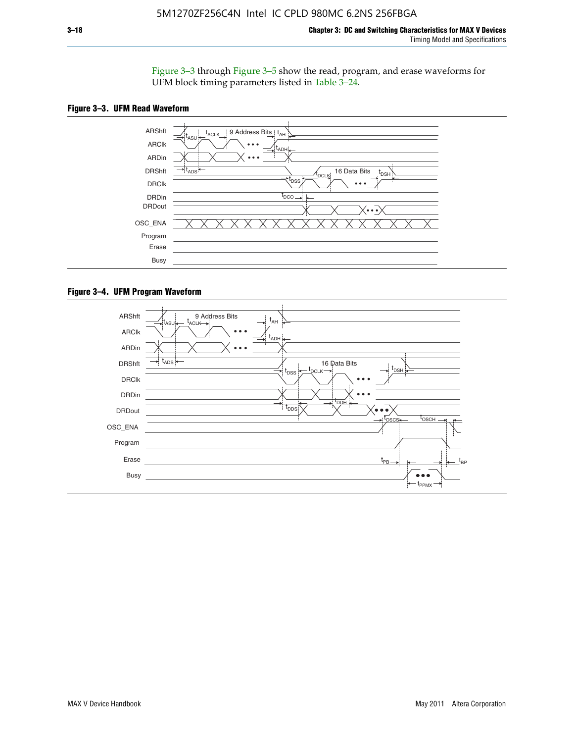Figure 3–3 through Figure 3–5 show the read, program, and erase waveforms for UFM block timing parameters listed in Table 3–24.





#### **Figure 3–4. UFM Program Waveform**

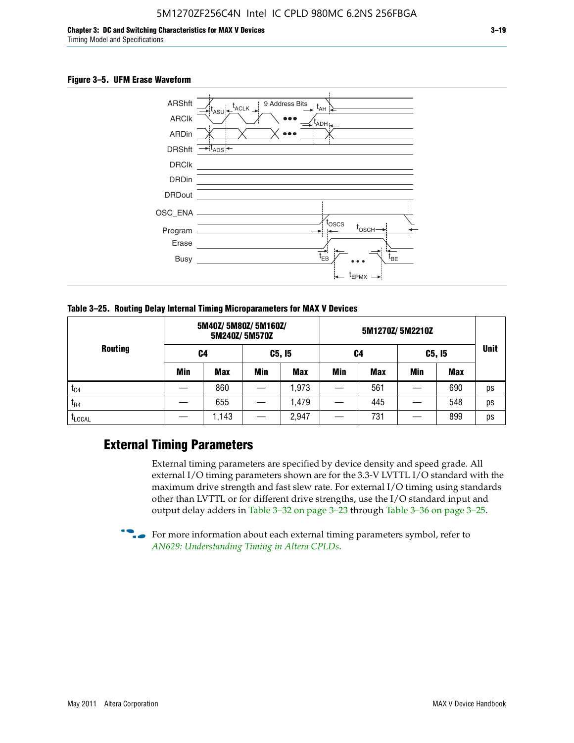#### **Figure 3–5. UFM Erase Waveform**



**Table 3–25. Routing Delay Internal Timing Microparameters for MAX V Devices**

| <b>Routing</b> |     | 5M40Z/ 5M80Z/ 5M160Z/ | 5M240Z/5M570Z |            |     |     |        |     |             |
|----------------|-----|-----------------------|---------------|------------|-----|-----|--------|-----|-------------|
|                | C4  |                       | C5, I5        |            | C4  |     | C5, I5 |     | <b>Unit</b> |
|                | Min | <b>Max</b>            | Min           | <b>Max</b> | Min | Max | Min    | Max |             |
| $t_{C4}$       |     | 860                   |               | ,973       |     | 561 |        | 690 | ps          |
| $t_{R4}$       |     | 655                   |               | .479       |     | 445 |        | 548 | ps          |
| <b>LLOCAL</b>  |     | 1,143                 |               | 2,947      |     | 731 |        | 899 | ps          |

### **External Timing Parameters**

External timing parameters are specified by device density and speed grade. All external I/O timing parameters shown are for the 3.3-V LVTTL I/O standard with the maximum drive strength and fast slew rate. For external I/O timing using standards other than LVTTL or for different drive strengths, use the I/O standard input and output delay adders in Table 3–32 on page 3–23 through Table 3–36 on page 3–25.

 $\bullet$  For more information about each external timing parameters symbol, refer to *[AN629: Understanding Timing in Altera CPLDs](http://www.altera.com/literature/an/an629.pdf)*.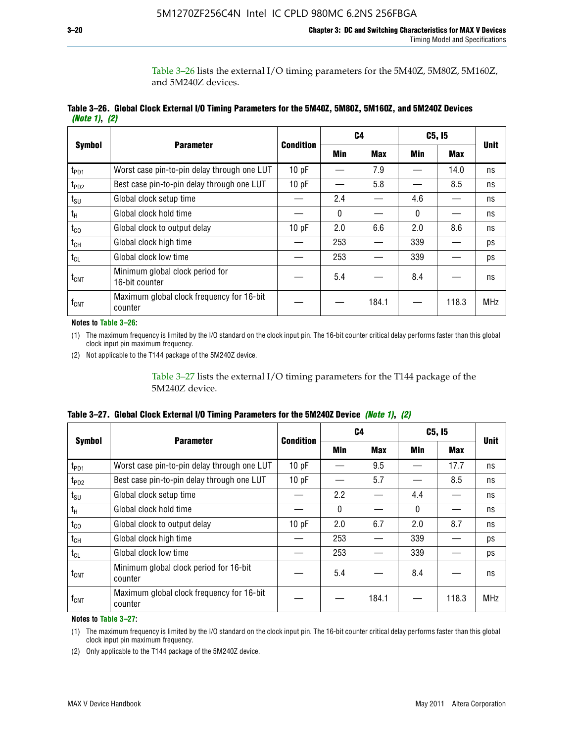Table 3–26 lists the external I/O timing parameters for the 5M40Z, 5M80Z, 5M160Z, and 5M240Z devices.

|               | Table 3–26. Global Clock External I/O Timing Parameters for the 5M40Z, 5M80Z, 5M160Z, and 5M240Z Devices |  |  |
|---------------|----------------------------------------------------------------------------------------------------------|--|--|
| (Note 1), (2) |                                                                                                          |  |  |

| <b>Symbol</b>    |                                                      | <b>Condition</b> |     | C4         |          | C5, I5     | <b>Unit</b> |
|------------------|------------------------------------------------------|------------------|-----|------------|----------|------------|-------------|
|                  | <b>Parameter</b>                                     |                  | Min | <b>Max</b> | Min      | <b>Max</b> |             |
| t <sub>PD1</sub> | Worst case pin-to-pin delay through one LUT          | 10pF             |     | 7.9        |          | 14.0       | ns          |
| $t_{PD2}$        | Best case pin-to-pin delay through one LUT           | 10pF             |     | 5.8        |          | 8.5        | ns          |
| $t_{\text{SU}}$  | Global clock setup time                              |                  | 2.4 |            | 4.6      |            | ns          |
| $t_{H}$          | Global clock hold time                               |                  | 0   |            | $\Omega$ |            | ns          |
| $t_{CO}$         | Global clock to output delay                         | 10pF             | 2.0 | 6.6        | 2.0      | 8.6        | ns          |
| $t_{CH}$         | Global clock high time                               |                  | 253 |            | 339      |            | ps          |
| $t_{CL}$         | Global clock low time                                |                  | 253 |            | 339      |            | ps          |
| $t_{\text{CNT}}$ | Minimum global clock period for<br>16-bit counter    |                  | 5.4 |            | 8.4      |            | ns          |
| $f_{\text{CNT}}$ | Maximum global clock frequency for 16-bit<br>counter |                  |     | 184.1      |          | 118.3      | <b>MHz</b>  |

**Notes to Table 3–26:**

(1) The maximum frequency is limited by the I/O standard on the clock input pin. The 16-bit counter critical delay performs faster than this global clock input pin maximum frequency.

(2) Not applicable to the T144 package of the 5M240Z device.

Table 3–27 lists the external I/O timing parameters for the T144 package of the 5M240Z device.

|  | Table 3–27. Global Clock External I/O Timing Parameters for the 5M240Z Device <i>(Note 1), (2)</i> |  |  |  |  |
|--|----------------------------------------------------------------------------------------------------|--|--|--|--|
|--|----------------------------------------------------------------------------------------------------|--|--|--|--|

|                    |                                                      | <b>Condition</b> |          | C <sub>4</sub> |          | C5, I5     | <b>Unit</b> |  |
|--------------------|------------------------------------------------------|------------------|----------|----------------|----------|------------|-------------|--|
| <b>Symbol</b>      | <b>Parameter</b>                                     |                  | Min      | <b>Max</b>     | Min      | <b>Max</b> |             |  |
| t <sub>PD1</sub>   | Worst case pin-to-pin delay through one LUT          | 10 pF            |          | 9.5            |          | 17.7       | ns          |  |
| t <sub>PD2</sub>   | Best case pin-to-pin delay through one LUT           | 10pF             |          | 5.7            |          | 8.5        | ns          |  |
| $t_{\text{SU}}$    | Global clock setup time                              |                  | 2.2      |                | 4.4      |            | ns          |  |
| $t_{\rm H}$        | Global clock hold time                               |                  | $\Omega$ |                | $\Omega$ |            | ns          |  |
| $t_{CO}$           | Global clock to output delay                         | 10pF             | 2.0      | 6.7            | 2.0      | 8.7        | ns          |  |
| t <sub>CH</sub>    | Global clock high time                               |                  | 253      |                | 339      |            | ps          |  |
| $t_{CL}$           | Global clock low time                                |                  | 253      |                | 339      |            | ps          |  |
| $t_{\text{CNT}}$   | Minimum global clock period for 16-bit<br>counter    |                  | 5.4      |                | 8.4      |            | ns          |  |
| $f_{\mathsf{CNT}}$ | Maximum global clock frequency for 16-bit<br>counter |                  |          | 184.1          |          | 118.3      | <b>MHz</b>  |  |

**Notes to Table 3–27:**

(1) The maximum frequency is limited by the I/O standard on the clock input pin. The 16-bit counter critical delay performs faster than this global clock input pin maximum frequency.

(2) Only applicable to the T144 package of the 5M240Z device.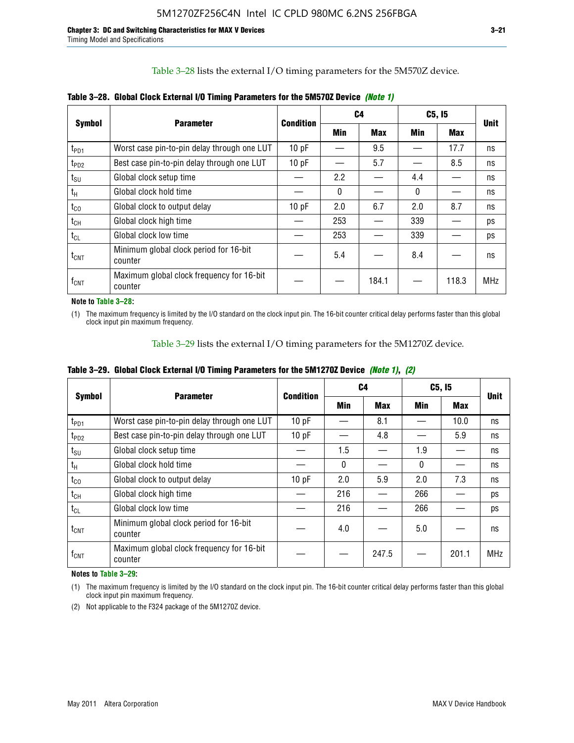Table 3–28 lists the external I/O timing parameters for the 5M570Z device.

|                  | <b>Parameter</b>                                     | <b>Condition</b> | C4           |            |              | C5, I5     | <b>Unit</b> |  |
|------------------|------------------------------------------------------|------------------|--------------|------------|--------------|------------|-------------|--|
| <b>Symbol</b>    |                                                      |                  | <b>Min</b>   | <b>Max</b> | Min          | <b>Max</b> |             |  |
| t <sub>PD1</sub> | Worst case pin-to-pin delay through one LUT          | 10 pF            |              | 9.5        |              | 17.7       | ns          |  |
| $t_{PD2}$        | Best case pin-to-pin delay through one LUT           | 10pF             |              | 5.7        |              | 8.5        | ns          |  |
| $t_{\text{SU}}$  | Global clock setup time                              |                  | 2.2          |            | 4.4          |            | ns          |  |
| $t_{H}$          | Global clock hold time                               |                  | $\mathbf{0}$ |            | $\mathbf{0}$ |            | ns          |  |
| $t_{\rm CO}$     | Global clock to output delay                         | 10pF             | 2.0          | 6.7        | 2.0          | 8.7        | ns          |  |
| $t_{CH}$         | Global clock high time                               |                  | 253          |            | 339          |            | ps          |  |
| $t_{CL}$         | Global clock low time                                |                  | 253          |            | 339          |            | ps          |  |
| $t_{\text{CNT}}$ | Minimum global clock period for 16-bit<br>counter    |                  | 5.4          |            | 8.4          |            | ns          |  |
| $f_{\text{CNT}}$ | Maximum global clock frequency for 16-bit<br>counter |                  |              | 184.1      |              | 118.3      | <b>MHz</b>  |  |

**Table 3–28. Global Clock External I/O Timing Parameters for the 5M570Z Device** *(Note 1)*

**Note to Table 3–28:**

(1) The maximum frequency is limited by the I/O standard on the clock input pin. The 16-bit counter critical delay performs faster than this global clock input pin maximum frequency.

Table 3–29 lists the external I/O timing parameters for the 5M1270Z device.

|  | Table 3–29. Global Clock External I/O Timing Parameters for the 5M1270Z Device <i>(Note 1)</i> , (2) |  |  |  |  |
|--|------------------------------------------------------------------------------------------------------|--|--|--|--|
|--|------------------------------------------------------------------------------------------------------|--|--|--|--|

|                             |                                                      |           |            | C4         |          | C5, I5     | <b>Unit</b> |  |
|-----------------------------|------------------------------------------------------|-----------|------------|------------|----------|------------|-------------|--|
| <b>Symbol</b>               | <b>Parameter</b>                                     | Condition | <b>Min</b> | <b>Max</b> | Min      | <b>Max</b> |             |  |
| $t_{PD1}$                   | Worst case pin-to-pin delay through one LUT          | 10pF      |            | 8.1        |          | 10.0       | ns          |  |
| $t_{PD2}$                   | Best case pin-to-pin delay through one LUT           | 10pF      |            | 4.8        |          | 5.9        | ns          |  |
| $t_{\scriptstyle\text{SU}}$ | Global clock setup time                              |           | 1.5        |            | 1.9      |            | ns          |  |
| $t_{\rm H}$                 | Global clock hold time                               |           | $\Omega$   |            | $\Omega$ |            | ns          |  |
| $t_{CO}$                    | Global clock to output delay                         | 10pF      | 2.0        | 5.9        | 2.0      | 7.3        | ns          |  |
| $t_{CH}$                    | Global clock high time                               |           | 216        |            | 266      |            | ps          |  |
| $t_{CL}$                    | Global clock low time                                |           | 216        |            | 266      |            | ps          |  |
| $t_{\text{CNT}}$            | Minimum global clock period for 16-bit<br>counter    |           | 4.0        |            | 5.0      |            | ns          |  |
| $f_{\text{CNT}}$            | Maximum global clock frequency for 16-bit<br>counter |           |            | 247.5      |          | 201.1      | <b>MHz</b>  |  |

**Notes to Table 3–29:**

(1) The maximum frequency is limited by the I/O standard on the clock input pin. The 16-bit counter critical delay performs faster than this global clock input pin maximum frequency.

(2) Not applicable to the F324 package of the 5M1270Z device.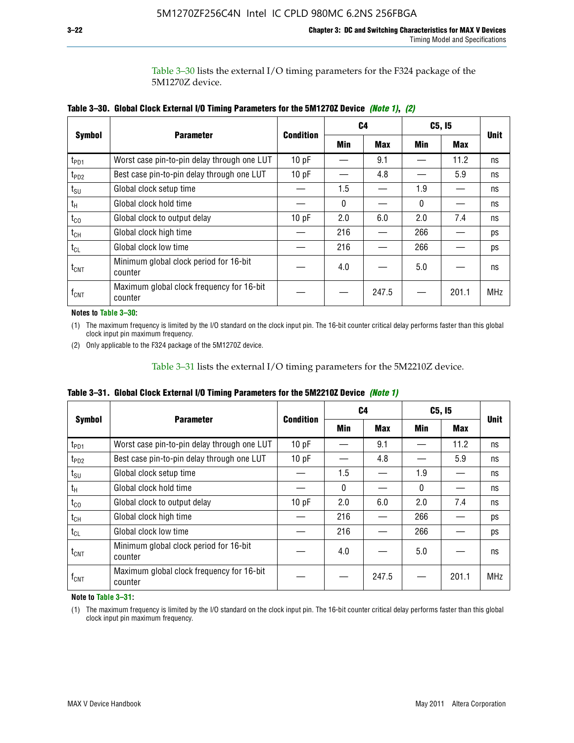Table 3–30 lists the external I/O timing parameters for the F324 package of the 5M1270Z device.

|                    |                                                      |                  |     | C <sub>4</sub> | C5, I5 | <b>Unit</b> |            |  |
|--------------------|------------------------------------------------------|------------------|-----|----------------|--------|-------------|------------|--|
| <b>Symbol</b>      | <b>Parameter</b>                                     | <b>Condition</b> | Min | <b>Max</b>     | Min    | <b>Max</b>  |            |  |
| t <sub>PD1</sub>   | Worst case pin-to-pin delay through one LUT          | 10pF             |     | 9.1            |        | 11.2        | ns         |  |
| t <sub>PD2</sub>   | Best case pin-to-pin delay through one LUT           | 10pF             |     | 4.8            |        | 5.9         | ns         |  |
| $t_{\text{SU}}$    | Global clock setup time                              |                  | 1.5 |                | 1.9    |             | ns         |  |
| $t_{H}$            | Global clock hold time                               |                  | 0   |                | 0      |             | ns         |  |
| $t_{CO}$           | Global clock to output delay                         | 10pF             | 2.0 | 6.0            | 2.0    | 7.4         | ns         |  |
| $t_{CH}$           | Global clock high time                               |                  | 216 |                | 266    |             | ps         |  |
| $t_{CL}$           | Global clock low time                                |                  | 216 |                | 266    |             | ps         |  |
| $t_{\text{CNT}}$   | Minimum global clock period for 16-bit<br>counter    |                  | 4.0 |                | 5.0    |             | ns         |  |
| $f_{\mathsf{CNT}}$ | Maximum global clock frequency for 16-bit<br>counter |                  |     | 247.5          |        | 201.1       | <b>MHz</b> |  |

**Table 3–30. Global Clock External I/O Timing Parameters for the 5M1270Z Device** *(Note 1)***,** *(2)*

#### **Notes to Table 3–30:**

(1) The maximum frequency is limited by the I/O standard on the clock input pin. The 16-bit counter critical delay performs faster than this global clock input pin maximum frequency.

(2) Only applicable to the F324 package of the 5M1270Z device.

Table 3–31 lists the external I/O timing parameters for the 5M2210Z device.

|  |  | Table 3–31. Global Clock External I/O Timing Parameters for the 5M2210Z Device <i>(Note 1)</i> |  |  |
|--|--|------------------------------------------------------------------------------------------------|--|--|
|--|--|------------------------------------------------------------------------------------------------|--|--|

|                    | <b>Parameter</b>                                     | <b>Condition</b> |          | C4         | C5, I5   |            | <b>Unit</b> |
|--------------------|------------------------------------------------------|------------------|----------|------------|----------|------------|-------------|
| <b>Symbol</b>      |                                                      |                  | Min      | <b>Max</b> | Min      | <b>Max</b> |             |
| t <sub>PD1</sub>   | Worst case pin-to-pin delay through one LUT          | 10pF             |          | 9.1        |          | 11.2       | ns          |
| t <sub>PD2</sub>   | Best case pin-to-pin delay through one LUT           | 10 pF            |          | 4.8        |          | 5.9        | ns          |
| $t_{\text{SU}}$    | Global clock setup time                              |                  | 1.5      |            | 1.9      |            | ns          |
| $t_{H}$            | Global clock hold time                               |                  | $\Omega$ |            | $\Omega$ |            | ns          |
| $t_{\rm CO}$       | Global clock to output delay                         | 10pF             | 2.0      | 6.0        | 2.0      | 7.4        | ns          |
| $t_{CH}$           | Global clock high time                               |                  | 216      |            | 266      |            | ps          |
| $t_{CL}$           | Global clock low time                                |                  | 216      |            | 266      |            | ps          |
| $t_{\text{CNT}}$   | Minimum global clock period for 16-bit<br>counter    |                  | 4.0      |            | 5.0      |            | ns          |
| $f_{\mathsf{CNT}}$ | Maximum global clock frequency for 16-bit<br>counter |                  |          | 247.5      |          | 201.1      | <b>MHz</b>  |

**Note to Table 3–31:**

(1) The maximum frequency is limited by the I/O standard on the clock input pin. The 16-bit counter critical delay performs faster than this global clock input pin maximum frequency.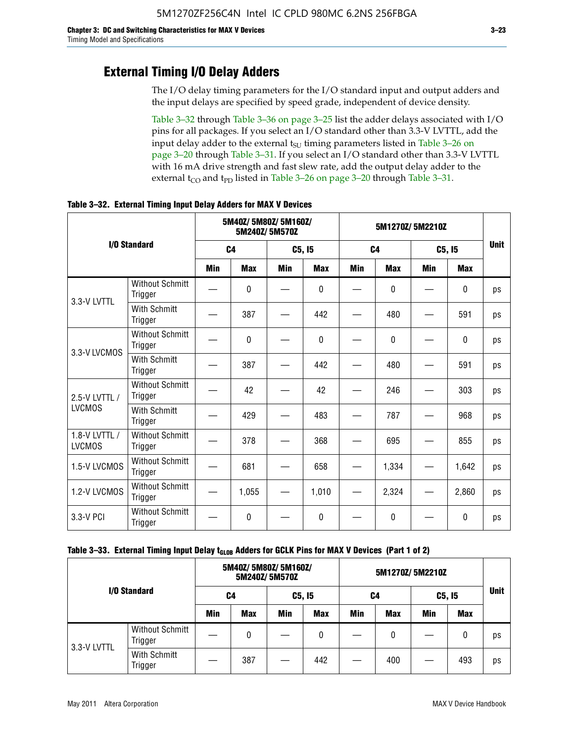### **External Timing I/O Delay Adders**

The I/O delay timing parameters for the I/O standard input and output adders and the input delays are specified by speed grade, independent of device density.

Table 3–32 through Table 3–36 on page 3–25 list the adder delays associated with I/O pins for all packages. If you select an I/O standard other than 3.3-V LVTTL, add the input delay adder to the external  $t_{\text{SU}}$  timing parameters listed in Table 3-26 on page 3–20 through Table 3–31. If you select an I/O standard other than 3.3-V LVTTL with 16 mA drive strength and fast slew rate, add the output delay adder to the external  $t_{CO}$  and  $t_{PD}$  listed in Table 3–26 on page 3–20 through Table 3–31.

|                                |                                   |     | 5M40Z/ 5M80Z/ 5M160Z/<br>5M240Z/5M570Z |            |              |            | 5M1270Z/5M2210Z |     |              |    |  |
|--------------------------------|-----------------------------------|-----|----------------------------------------|------------|--------------|------------|-----------------|-----|--------------|----|--|
|                                | I/O Standard                      |     | C <sub>4</sub>                         |            | C5, I5       |            | C <sub>4</sub>  |     | C5, I5       |    |  |
|                                |                                   | Min | <b>Max</b>                             | <b>Min</b> | <b>Max</b>   | <b>Min</b> | <b>Max</b>      | Min | <b>Max</b>   |    |  |
| 3.3-V LVTTL                    | <b>Without Schmitt</b><br>Trigger |     | 0                                      |            | $\mathbf{0}$ |            | 0               |     | $\mathbf{0}$ | ps |  |
|                                | <b>With Schmitt</b><br>Trigger    |     | 387                                    |            | 442          |            | 480             |     | 591          | ps |  |
| 3.3-V LVCMOS                   | <b>Without Schmitt</b><br>Trigger |     | 0                                      |            | $\Omega$     |            | $\Omega$        |     | $\Omega$     | ps |  |
|                                | <b>With Schmitt</b><br>Trigger    |     | 387                                    |            | 442          |            | 480             |     | 591          | ps |  |
| 2.5-V LVTTL /                  | <b>Without Schmitt</b><br>Trigger |     | 42                                     |            | 42           |            | 246             |     | 303          | ps |  |
| <b>LVCMOS</b>                  | With Schmitt<br>Trigger           |     | 429                                    |            | 483          |            | 787             |     | 968          | ps |  |
| 1.8-V LVTTL /<br><b>LVCMOS</b> | <b>Without Schmitt</b><br>Trigger |     | 378                                    |            | 368          |            | 695             |     | 855          | ps |  |
| 1.5-V LVCMOS                   | <b>Without Schmitt</b><br>Trigger |     | 681                                    |            | 658          |            | 1,334           |     | 1,642        | ps |  |
| 1.2-V LVCMOS                   | <b>Without Schmitt</b><br>Trigger |     | 1,055                                  |            | 1,010        |            | 2,324           |     | 2,860        | ps |  |
| 3.3-V PCI                      | <b>Without Schmitt</b><br>Trigger |     | 0                                      |            | $\Omega$     |            | $\Omega$        |     | $\Omega$     | ps |  |

**Table 3–32. External Timing Input Delay Adders for MAX V Devices**

| I/O Standard |                                   |            | 5M40Z/ 5M80Z/ 5M160Z/ | 5M240Z/5M570Z |            | 5M1270Z/5M2210Z |            |        |            |             |
|--------------|-----------------------------------|------------|-----------------------|---------------|------------|-----------------|------------|--------|------------|-------------|
|              |                                   | C4         |                       | C5, I5        |            | C4              |            | C5, I5 |            | <b>Unit</b> |
|              |                                   | <b>Min</b> | <b>Max</b>            | Min           | <b>Max</b> | Min             | <b>Max</b> | Min    | <b>Max</b> |             |
| 3.3-V LVTTL  | <b>Without Schmitt</b><br>Trigger |            | 0                     |               | 0          |                 | 0          |        | 0          | ps          |
|              | With Schmitt<br>Trigger           |            | 387                   |               | 442        |                 | 400        |        | 493        | ps          |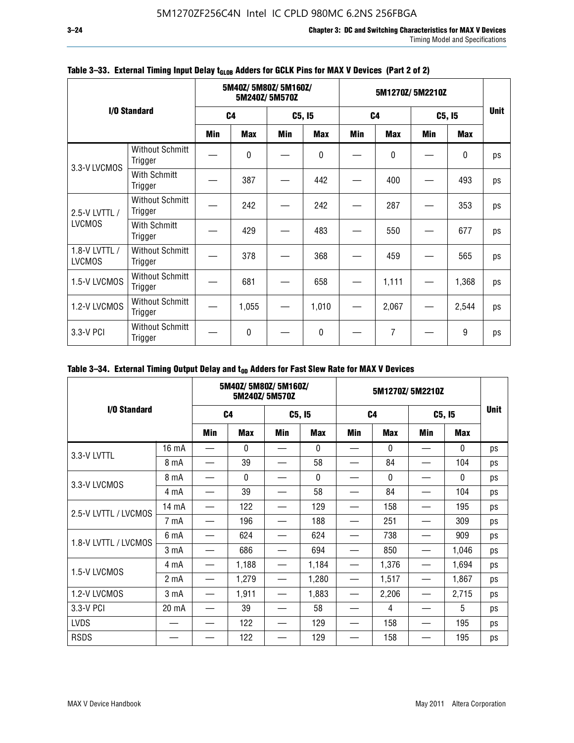|                                |                                   |                | 5M40Z/5M80Z/5M160Z/<br>5M240Z/5M570Z |            |            |                | 5M1270Z/5M2210Z |            |            |             |  |
|--------------------------------|-----------------------------------|----------------|--------------------------------------|------------|------------|----------------|-----------------|------------|------------|-------------|--|
|                                | I/O Standard                      | C <sub>4</sub> |                                      | C5, I5     |            | C <sub>4</sub> |                 | C5, I5     |            | <b>Unit</b> |  |
|                                |                                   | <b>Min</b>     | <b>Max</b>                           | <b>Min</b> | <b>Max</b> | <b>Min</b>     | <b>Max</b>      | <b>Min</b> | <b>Max</b> |             |  |
| 3.3-V LVCMOS                   | <b>Without Schmitt</b><br>Trigger |                | 0                                    |            | 0          |                | 0               |            | 0          | ps          |  |
|                                | With Schmitt<br>Trigger           |                | 387                                  |            | 442        |                | 400             |            | 493        | ps          |  |
| 2.5-V LVTTL /                  | <b>Without Schmitt</b><br>Trigger |                | 242                                  |            | 242        |                | 287             |            | 353        | ps          |  |
| <b>LVCMOS</b>                  | With Schmitt<br>Trigger           |                | 429                                  |            | 483        |                | 550             |            | 677        | ps          |  |
| 1.8-V LVTTL /<br><b>LVCMOS</b> | <b>Without Schmitt</b><br>Trigger |                | 378                                  |            | 368        |                | 459             |            | 565        | ps          |  |
| 1.5-V LVCMOS                   | <b>Without Schmitt</b><br>Trigger |                | 681                                  |            | 658        |                | 1,111           |            | 1,368      | ps          |  |
| 1.2-V LVCMOS                   | <b>Without Schmitt</b><br>Trigger |                | 1,055                                |            | 1,010      |                | 2,067           |            | 2,544      | ps          |  |
| 3.3-V PCI                      | <b>Without Schmitt</b><br>Trigger |                | $\mathbf{0}$                         |            | 0          |                | 7               |            | 9          | ps          |  |

### Table 3-33. External Timing Input Delay t<sub>GLOB</sub> Adders for GCLK Pins for MAX V Devices (Part 2 of 2)

### Table 3-34. External Timing Output Delay and t<sub>op</sub> Adders for Fast Slew Rate for MAX V Devices

|                      |                  | 5M40Z/ 5M80Z/ 5M160Z/<br>5M240Z/5M570Z |              |        | 5M1270Z/5M2210Z |                |              |        |              |             |
|----------------------|------------------|----------------------------------------|--------------|--------|-----------------|----------------|--------------|--------|--------------|-------------|
| I/O Standard         |                  | C <sub>4</sub>                         |              | C5, I5 |                 | C <sub>4</sub> |              | C5, I5 |              | <b>Unit</b> |
|                      |                  | Min                                    | <b>Max</b>   | Min    | <b>Max</b>      | <b>Min</b>     | <b>Max</b>   | Min    | <b>Max</b>   |             |
| 3.3-V LVTTL          | 16 mA            |                                        | 0            |        | 0               |                | $\mathbf{0}$ |        | 0            | ps          |
|                      | 8 mA             |                                        | 39           |        | 58              |                | 84           |        | 104          | ps          |
|                      | 8 mA             |                                        | $\mathbf{0}$ |        | $\Omega$        |                | $\Omega$     |        | $\mathbf{0}$ | ps          |
| 3.3-V LVCMOS         | 4 mA             |                                        | 39           |        | 58              |                | 84           |        | 104          | ps          |
| 2.5-V LVTTL / LVCMOS | 14 mA            |                                        | 122          |        | 129             |                | 158          |        | 195          | ps          |
|                      | 7 mA             |                                        | 196          |        | 188             |                | 251          |        | 309          | ps          |
| 1.8-V LVTTL / LVCMOS | 6 mA             |                                        | 624          |        | 624             |                | 738          |        | 909          | ps          |
|                      | 3 mA             |                                        | 686          |        | 694             |                | 850          |        | 1,046        | ps          |
| 1.5-V LVCMOS         | 4 mA             |                                        | 1,188        |        | 1,184           |                | 1,376        |        | 1,694        | ps          |
|                      | 2 <sub>m</sub> A |                                        | 1,279        |        | 1,280           |                | 1,517        |        | 1,867        | ps          |
| 1.2-V LVCMOS         | 3 mA             |                                        | 1,911        |        | 1,883           |                | 2,206        |        | 2,715        | ps          |
| 3.3-V PCI            | 20 mA            |                                        | 39           |        | 58              |                | 4            |        | 5            | ps          |
| <b>LVDS</b>          |                  |                                        | 122          |        | 129             |                | 158          |        | 195          | ps          |
| <b>RSDS</b>          |                  |                                        | 122          |        | 129             |                | 158          |        | 195          | ps          |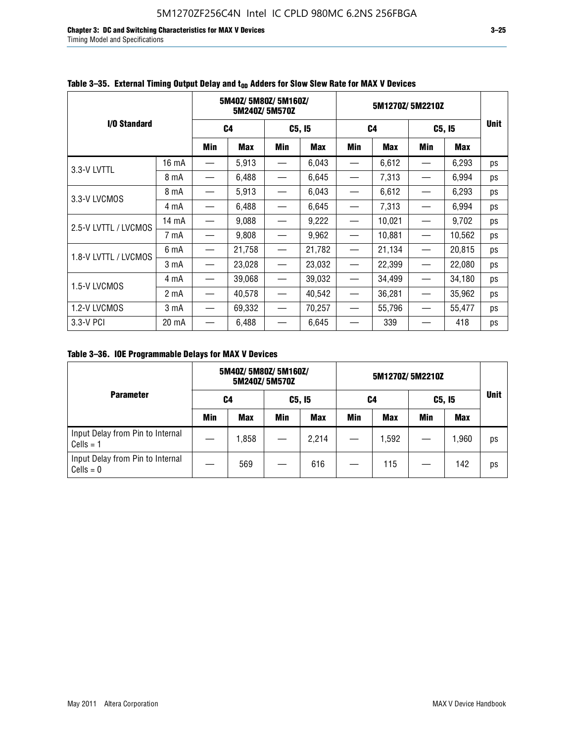**Chapter 3: DC and Switching Characteristics for MAX V Devices 3–25** Timing Model and Specifications

|                      |                  |                          | 5M40Z/5M80Z/5M160Z/<br>5M240Z/5M570Z |                               |        | 5M1270Z/5M2210Z |            |        |            |             |
|----------------------|------------------|--------------------------|--------------------------------------|-------------------------------|--------|-----------------|------------|--------|------------|-------------|
| I/O Standard         |                  | C <sub>4</sub>           |                                      | C5, I5                        |        | C <sub>4</sub>  |            | C5, I5 |            | <b>Unit</b> |
|                      |                  | Min                      | <b>Max</b>                           | Min                           | Max    | Min             | <b>Max</b> | Min    | <b>Max</b> |             |
| 3.3-V LVTTL          | 16 mA            |                          | 5,913                                |                               | 6,043  |                 | 6,612      |        | 6,293      | ps          |
|                      | 8 mA             | $\overline{\phantom{0}}$ | 6,488                                | $\overline{\phantom{0}}$      | 6,645  |                 | 7,313      |        | 6,994      | ps          |
| 3.3-V LVCMOS         | 8 mA             |                          | 5,913                                | $\overline{\phantom{0}}$      | 6,043  |                 | 6,612      |        | 6,293      | ps          |
|                      | 4 mA             | $\overline{\phantom{0}}$ | 6,488                                | $\overline{\phantom{0}}$      | 6,645  |                 | 7,313      |        | 6,994      | ps          |
| 2.5-V LVTTL / LVCMOS | 14 mA            |                          | 9,088                                |                               | 9,222  |                 | 10,021     |        | 9,702      | ps          |
|                      | 7 mA             | —                        | 9,808                                |                               | 9,962  |                 | 10,881     |        | 10,562     | ps          |
| 1.8-V LVTTL / LVCMOS | 6 mA             |                          | 21,758                               | —                             | 21,782 |                 | 21,134     |        | 20,815     | ps          |
|                      | 3 <sub>m</sub> A | —                        | 23,028                               |                               | 23,032 |                 | 22,399     |        | 22,080     | ps          |
| 1.5-V LVCMOS         | 4 mA             |                          | 39,068                               | $\overline{\phantom{0}}$      | 39,032 |                 | 34,499     |        | 34,180     | ps          |
|                      | 2 <sub>m</sub> A | —                        | 40,578                               | $\overbrace{\phantom{13333}}$ | 40,542 |                 | 36,281     |        | 35,962     | ps          |
| 1.2-V LVCMOS         | 3 <sub>m</sub> A | —                        | 69,332                               | $\overline{\phantom{0}}$      | 70,257 |                 | 55,796     |        | 55,477     | ps          |
| 3.3-V PCI            | 20 mA            |                          | 6,488                                |                               | 6,645  |                 | 339        |        | 418        | ps          |

### Table 3–35. External Timing Output Delay and t<sub>on</sub> Adders for Slow Slew Rate for MAX V Devices

**Table 3–36. IOE Programmable Delays for MAX V Devices**

|                                                 | 5M40Z/5M80Z/5M160Z/<br>5M240Z/5M570Z |            |        |       | 5M1270Z/5M2210Z |       |        |            |             |
|-------------------------------------------------|--------------------------------------|------------|--------|-------|-----------------|-------|--------|------------|-------------|
| <b>Parameter</b>                                | C4                                   |            | C5, I5 |       | C4              |       | C5, I5 |            | <b>Unit</b> |
|                                                 | <b>Min</b>                           | <b>Max</b> | Min    | Max   | Min             | Max   | Min    | <b>Max</b> |             |
| Input Delay from Pin to Internal<br>$Cells = 1$ |                                      | 1,858      |        | 2,214 |                 | 1,592 |        | 1,960      | ps          |
| Input Delay from Pin to Internal<br>$Cells = 0$ |                                      | 569        |        | 616   |                 | 115   |        | 142        | ps          |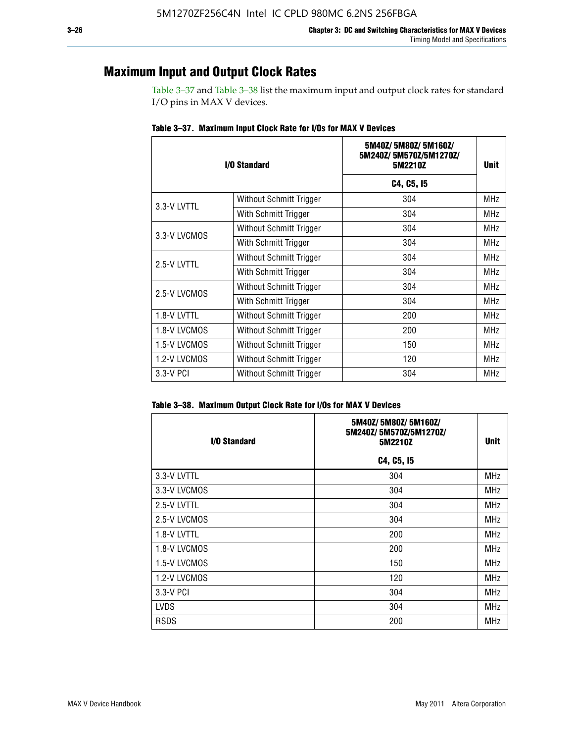### **Maximum Input and Output Clock Rates**

Table 3–37 and Table 3–38 list the maximum input and output clock rates for standard I/O pins in MAX V devices.

| I/O Standard |                         | 5M40Z/5M80Z/5M160Z/<br>5M240Z/5M570Z/5M1270Z/<br>5M2210Z | Unit       |
|--------------|-------------------------|----------------------------------------------------------|------------|
|              |                         | C4, C5, I5                                               |            |
| 3.3-V LVTTL  | Without Schmitt Trigger | 304                                                      | <b>MHz</b> |
|              | With Schmitt Trigger    | 304                                                      | <b>MHz</b> |
| 3.3-V LVCMOS | Without Schmitt Trigger | 304                                                      | MHz        |
|              | With Schmitt Trigger    | 304                                                      | MHz        |
| 2.5-V LVTTL  | Without Schmitt Trigger | 304                                                      | <b>MHz</b> |
|              | With Schmitt Trigger    | 304                                                      | MHz        |
| 2.5-V LVCMOS | Without Schmitt Trigger | 304                                                      | <b>MHz</b> |
|              | With Schmitt Trigger    | 304                                                      | MHz        |
| 1.8-V LVTTL  | Without Schmitt Trigger | 200                                                      | MHz        |
| 1.8-V LVCMOS | Without Schmitt Trigger | 200                                                      | <b>MHz</b> |
| 1.5-V LVCMOS | Without Schmitt Trigger | 150                                                      | MHz        |
| 1.2-V LVCMOS | Without Schmitt Trigger | 120                                                      | MHz        |
| 3.3-V PCI    | Without Schmitt Trigger | 304                                                      | <b>MHz</b> |

**Table 3–37. Maximum Input Clock Rate for I/Os for MAX V Devices**

| Table 3–38. Maximum Output Clock Rate for I/Os for MAX V Devices |  |  |  |  |  |  |  |  |  |  |
|------------------------------------------------------------------|--|--|--|--|--|--|--|--|--|--|
|------------------------------------------------------------------|--|--|--|--|--|--|--|--|--|--|

| I/O Standard | 5M40Z/5M80Z/5M160Z/<br>5M240Z/5M570Z/5M1270Z/<br>5M2210Z | Unit       |  |
|--------------|----------------------------------------------------------|------------|--|
|              | C4, C5, I5                                               |            |  |
| 3.3-V LVTTL  | 304                                                      | <b>MHz</b> |  |
| 3.3-V LVCMOS | 304                                                      | <b>MHz</b> |  |
| 2.5-V LVTTL  | 304                                                      | <b>MHz</b> |  |
| 2.5-V LVCMOS | 304                                                      | <b>MHz</b> |  |
| 1.8-V LVTTL  | 200                                                      | MHz        |  |
| 1.8-V LVCMOS | 200                                                      | <b>MHz</b> |  |
| 1.5-V LVCMOS | 150                                                      | <b>MHz</b> |  |
| 1.2-V LVCMOS | 120                                                      | <b>MHz</b> |  |
| 3.3-V PCI    | 304                                                      | <b>MHz</b> |  |
| <b>LVDS</b>  | 304                                                      | <b>MHz</b> |  |
| <b>RSDS</b>  | 200                                                      | <b>MHz</b> |  |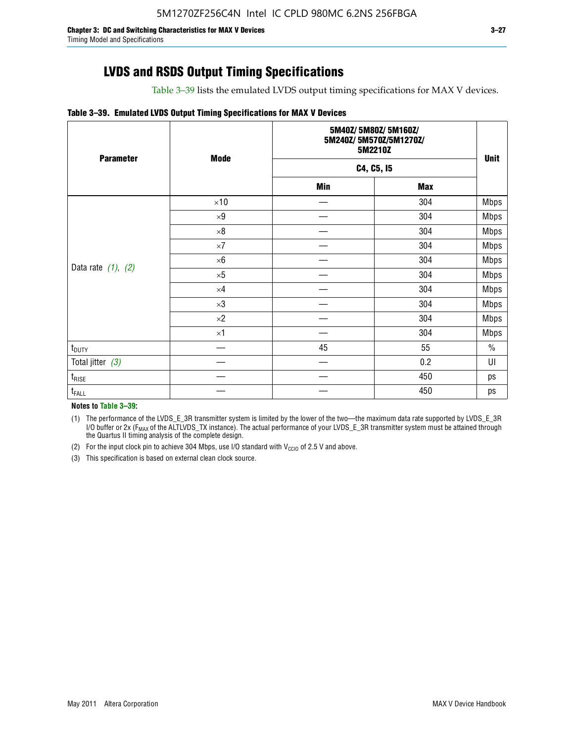Table 3–39 lists the emulated LVDS output timing specifications for MAX V devices.

#### **Table 3–39. Emulated LVDS Output Timing Specifications for MAX V Devices**

| <b>Parameter</b>        | <b>Mode</b> | 5M40Z/5M80Z/5M160Z/<br>5M240Z/5M570Z/5M1270Z/<br>5M2210Z | <b>Unit</b> |             |
|-------------------------|-------------|----------------------------------------------------------|-------------|-------------|
|                         |             | C4, C5, I5                                               |             |             |
|                         |             | Min                                                      | <b>Max</b>  |             |
|                         | $\times 10$ |                                                          | 304         | <b>Mbps</b> |
|                         | $\times 9$  |                                                          | 304         | <b>Mbps</b> |
|                         | $\times 8$  |                                                          | 304         | <b>Mbps</b> |
|                         | $\times 7$  |                                                          | 304         | <b>Mbps</b> |
|                         | $\times 6$  |                                                          | 304         | <b>Mbps</b> |
| Data rate $(1)$ , $(2)$ | $\times 5$  |                                                          | 304         | <b>Mbps</b> |
|                         | $\times 4$  |                                                          | 304         | <b>Mbps</b> |
|                         | $\times 3$  |                                                          | 304         | <b>Mbps</b> |
|                         | $\times 2$  |                                                          | 304         | <b>Mbps</b> |
|                         | $\times$ 1  |                                                          | 304         | <b>Mbps</b> |
| $t_{\text{DUTY}}$       |             | 45                                                       | 55          | $\%$        |
| Total jitter $(3)$      |             |                                                          | 0.2         | UI          |
| $t_{\text{RISE}}$       |             |                                                          | 450         | ps          |
| $t_{FALL}$              |             |                                                          | 450         | ps          |

**Notes to Table 3–39:**

(1) The performance of the LVDS\_E\_3R transmitter system is limited by the lower of the two—the maximum data rate supported by LVDS\_E\_3R I/O buffer or 2x (F<sub>MAX</sub> of the ALTLVDS\_TX instance). The actual performance of your LVDS\_E\_3R transmitter system must be attained through the Quartus II timing analysis of the complete design.

(2) For the input clock pin to achieve 304 Mbps, use I/O standard with  $V_{\text{CCIO}}$  of 2.5 V and above.

(3) This specification is based on external clean clock source.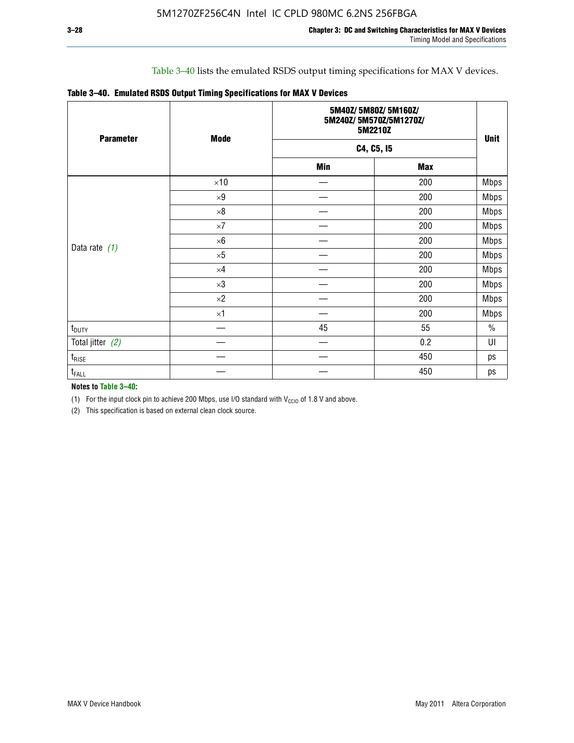### Table 3–40 lists the emulated RSDS output timing specifications for MAX V devices.

|  |  |  | Table 3-40. Emulated RSDS Output Timing Specifications for MAX V Devices |  |
|--|--|--|--------------------------------------------------------------------------|--|
|--|--|--|--------------------------------------------------------------------------|--|

| <b>Parameter</b>   | <b>Mode</b> |            | 5M40Z/5M80Z/5M160Z/<br>5M240Z/5M570Z/5M1270Z/<br>5M2210Z |             |  |  |
|--------------------|-------------|------------|----------------------------------------------------------|-------------|--|--|
|                    |             |            | C4, C5, I5                                               | <b>Unit</b> |  |  |
|                    |             | <b>Min</b> | <b>Max</b>                                               |             |  |  |
|                    | $\times 10$ |            | 200                                                      | <b>Mbps</b> |  |  |
|                    | $\times 9$  |            | 200                                                      | <b>Mbps</b> |  |  |
|                    | $\times 8$  |            | 200                                                      | <b>Mbps</b> |  |  |
|                    | $\times 7$  |            | 200                                                      | <b>Mbps</b> |  |  |
|                    | $\times 6$  |            | 200                                                      | <b>Mbps</b> |  |  |
| Data rate $(1)$    | $\times 5$  |            | 200                                                      | <b>Mbps</b> |  |  |
|                    | $\times 4$  |            | 200                                                      | <b>Mbps</b> |  |  |
|                    | $\times 3$  |            | 200                                                      | <b>Mbps</b> |  |  |
|                    | $\times 2$  |            | 200                                                      | <b>Mbps</b> |  |  |
|                    | $\times 1$  |            | 200                                                      | <b>Mbps</b> |  |  |
| $t_{\text{DUTY}}$  |             | 45         | 55                                                       | $\%$        |  |  |
| Total jitter $(2)$ |             |            | 0.2                                                      | UI          |  |  |
| $t_{\rm RISE}$     |             |            | 450                                                      | ps          |  |  |
| t <sub>FALL</sub>  |             |            | 450                                                      | ps          |  |  |

**Notes to Table 3–40:**

(1) For the input clock pin to achieve 200 Mbps, use I/O standard with  $V_{\text{CCIO}}$  of 1.8 V and above.

(2) This specification is based on external clean clock source.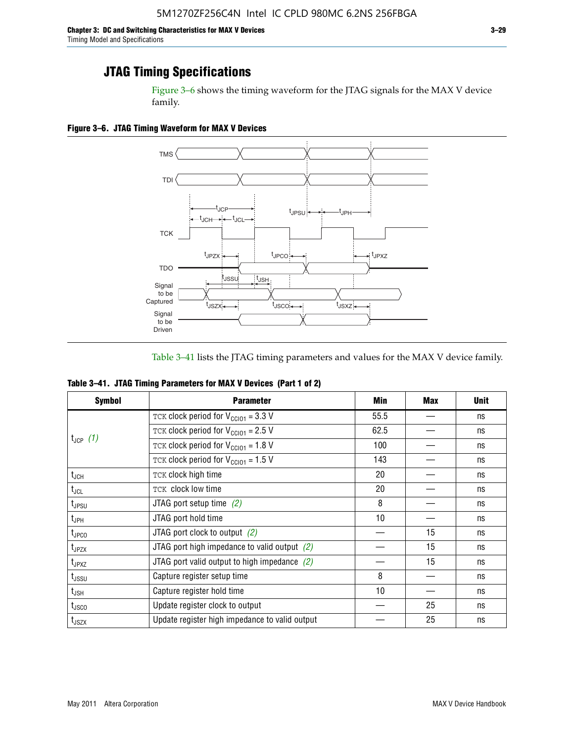Figure 3–6 shows the timing waveform for the JTAG signals for the MAX V device family.

**Figure 3–6. JTAG Timing Waveform for MAX V Devices**



Table 3–41 lists the JTAG timing parameters and values for the MAX V device family.

| Table 3-41. JTAG Timing Parameters for MAX V Devices (Part 1 of 2) |  |  |
|--------------------------------------------------------------------|--|--|
|                                                                    |  |  |

| <b>Symbol</b>      | <b>Parameter</b>                                            | Min  | <b>Max</b> | <b>Unit</b> |
|--------------------|-------------------------------------------------------------|------|------------|-------------|
|                    | TCK clock period for $V_{\text{CC}}$ <sub>101</sub> = 3.3 V | 55.5 |            | ns          |
|                    | TCK clock period for $V_{CC101} = 2.5 V$                    | 62.5 |            | ns          |
| $t_{JCP}$ (1)      | TCK clock period for $V_{\text{CC101}} = 1.8 \text{ V}$     | 100  |            | ns          |
|                    | TCK clock period for $V_{\text{CC101}} = 1.5$ V             | 143  |            | ns          |
| $t_{JCH}$          | TCK clock high time                                         | 20   |            | ns          |
| $t_{\sf JCL}$      | TCK clock low time                                          | 20   |            | ns          |
| $t_{JPSU}$         | JTAG port setup time $(2)$                                  | 8    |            | ns          |
| t <sub>JPH</sub>   | JTAG port hold time                                         | 10   |            | ns          |
| $t_{\text{JPCO}}$  | JTAG port clock to output $(2)$                             |      | 15         | ns          |
| t <sub>JPZX</sub>  | JTAG port high impedance to valid output $(2)$              |      | 15         | ns          |
| $t_{JPXZ}$         | JTAG port valid output to high impedance $(2)$              |      | 15         | ns          |
| t <sub>JSSU</sub>  | Capture register setup time                                 | 8    |            | ns          |
| $t_{\mathsf{JSH}}$ | Capture register hold time                                  | 10   |            | ns          |
| t <sub>JSCO</sub>  | Update register clock to output                             |      | 25         | ns          |
| $t_{\text{JSZX}}$  | Update register high impedance to valid output              |      | 25         | ns          |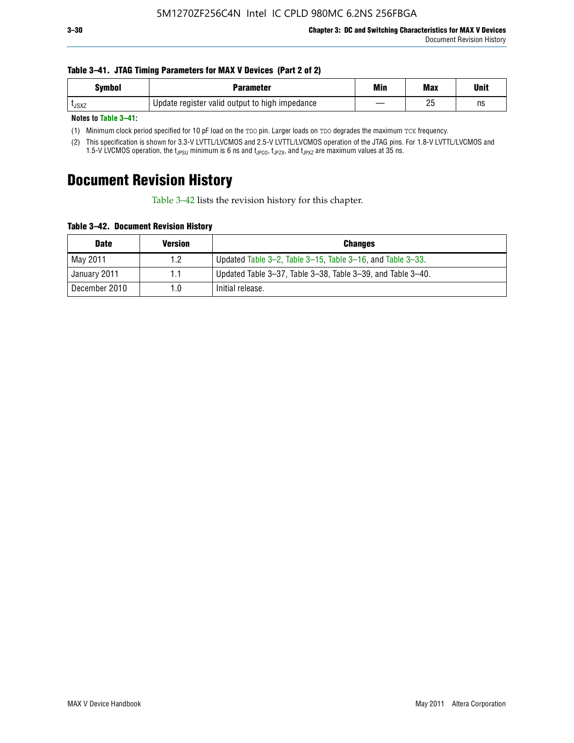#### **Table 3–41. JTAG Timing Parameters for MAX V Devices (Part 2 of 2)**

| <b>Symbol</b> | Parameter                                      | Min | <b>Max</b> | Unit |
|---------------|------------------------------------------------|-----|------------|------|
| <b>L</b> JSXZ | Update register valid output to high impedance |     | りに<br>۷J   | ns   |

**Notes to Table 3–41:**

(1) Minimum clock period specified for 10 pF load on the TDO pin. Larger loads on TDO degrades the maximum TCK frequency.

(2) This specification is shown for 3.3-V LVTTL/LVCMOS and 2.5-V LVTTL/LVCMOS operation of the JTAG pins. For 1.8-V LVTTL/LVCMOS and 1.5-V LVCMOS operation, the t<sub>JPSU</sub> minimum is 6 ns and t<sub>JPCO</sub>, t<sub>JPZX</sub>, and t<sub>JPXZ</sub> are maximum values at 35 ns.

# **Document Revision History**

Table 3–42 lists the revision history for this chapter.

**Table 3–42. Document Revision History**

| <b>Date</b>   | <b>Version</b> | <b>Changes</b>                                              |
|---------------|----------------|-------------------------------------------------------------|
| Mav 2011      | 1.2            | Updated Table 3–2, Table 3–15, Table 3–16, and Table 3–33.  |
| January 2011  | 1.1            | Updated Table 3-37, Table 3-38, Table 3-39, and Table 3-40. |
| December 2010 | 1.0            | Initial release.                                            |